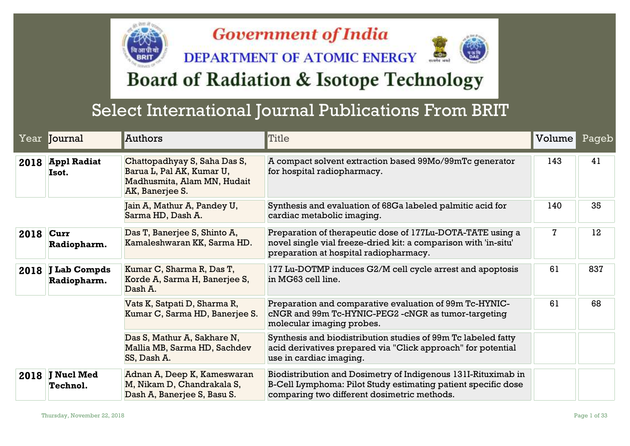## **Government of India**

**DEPARTMENT OF ATOMIC ENERGY** 



## **Board of Radiation & Isotope Technology**

## Select International Journal Publications From BRIT

|           | Year <b>Journal</b>              | Authors                                                                                                     | Title                                                                                                                                                                         | Volume | Pageb |
|-----------|----------------------------------|-------------------------------------------------------------------------------------------------------------|-------------------------------------------------------------------------------------------------------------------------------------------------------------------------------|--------|-------|
|           | 2018 Appl Radiat<br>Isot.        | Chattopadhyay S, Saha Das S,<br>Barua L, Pal AK, Kumar U,<br>Madhusmita, Alam MN, Hudait<br>AK, Banerjee S. | A compact solvent extraction based 99Mo/99mTc generator<br>for hospital radiopharmacy.                                                                                        | 143    | 41    |
|           |                                  | Jain A, Mathur A, Pandey U,<br>Sarma HD, Dash A.                                                            | Synthesis and evaluation of 68Ga labeled palmitic acid for<br>cardiac metabolic imaging.                                                                                      | 140    | 35    |
| 2018 Curr | Radiopharm.                      | Das T, Banerjee S, Shinto A,<br>Kamaleshwaran KK, Sarma HD.                                                 | Preparation of therapeutic dose of 177Lu-DOTA-TATE using a<br>novel single vial freeze-dried kit: a comparison with 'in-situ'<br>preparation at hospital radiopharmacy.       | 7      | 12    |
|           | 2018 J Lab Compds<br>Radiopharm. | Kumar C, Sharma R, Das T,<br>Korde A, Sarma H, Banerjee S,<br>Dash A.                                       | 177 Lu-DOTMP induces G2/M cell cycle arrest and apoptosis<br>in MG63 cell line.                                                                                               | 61     | 837   |
|           |                                  | Vats K, Satpati D, Sharma R,<br>Kumar C, Sarma HD, Banerjee S.                                              | Preparation and comparative evaluation of 99m Tc-HYNIC-<br>cNGR and 99m Tc-HYNIC-PEG2 - cNGR as tumor-targeting<br>molecular imaging probes.                                  | 61     | 68    |
|           |                                  | Das S, Mathur A, Sakhare N,<br>Mallia MB, Sarma HD, Sachdev<br>SS, Dash A.                                  | Synthesis and biodistribution studies of 99m Tc labeled fatty<br>acid derivatives prepared via "Click approach" for potential<br>use in cardiac imaging.                      |        |       |
|           | 2018 J Nucl Med<br>Technol.      | Adnan A, Deep K, Kameswaran<br>M, Nikam D, Chandrakala S,<br>Dash A, Banerjee S, Basu S.                    | Biodistribution and Dosimetry of Indigenous 131I-Rituximab in<br>B-Cell Lymphoma: Pilot Study estimating patient specific dose<br>comparing two different dosimetric methods. |        |       |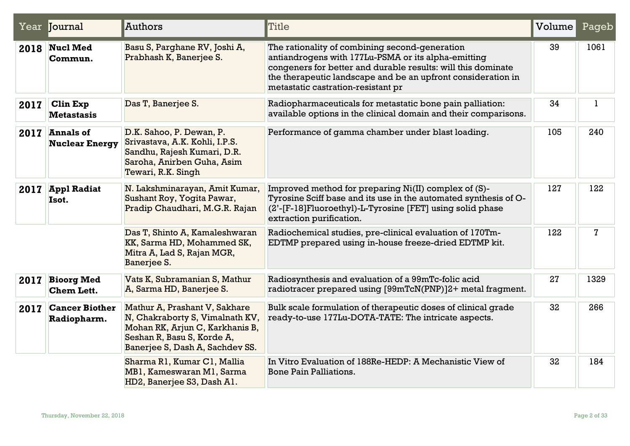|      | Year <b>Journal</b>                     | Authors                                                                                                                                                              | <b>Title</b>                                                                                                                                                                                                                                                                | Volume | Pageb       |
|------|-----------------------------------------|----------------------------------------------------------------------------------------------------------------------------------------------------------------------|-----------------------------------------------------------------------------------------------------------------------------------------------------------------------------------------------------------------------------------------------------------------------------|--------|-------------|
| 2018 | <b>Nucl Med</b><br>Commun.              | Basu S, Parghane RV, Joshi A,<br>Prabhash K, Banerjee S.                                                                                                             | The rationality of combining second-generation<br>antiandrogens with 177Lu-PSMA or its alpha-emitting<br>congeners for better and durable results: will this dominate<br>the therapeutic landscape and be an upfront consideration in<br>metastatic castration-resistant pr | 39     | 1061        |
| 2017 | <b>Clin Exp</b><br><b>Metastasis</b>    | Das T, Banerjee S.                                                                                                                                                   | Radiopharmaceuticals for metastatic bone pain palliation:<br>available options in the clinical domain and their comparisons.                                                                                                                                                | 34     | ı           |
|      | 2017 Annals of<br><b>Nuclear Energy</b> | D.K. Sahoo, P. Dewan, P.<br>Srivastava, A.K. Kohli, I.P.S.<br>Sandhu, Rajesh Kumari, D.R.<br>Saroha, Anirben Guha, Asim<br>Tewari, R.K. Singh                        | Performance of gamma chamber under blast loading.                                                                                                                                                                                                                           | 105    | 240         |
| 2017 | <b>Appl Radiat</b><br>Isot.             | N. Lakshminarayan, Amit Kumar,<br>Sushant Roy, Yogita Pawar,<br>Pradip Chaudhari, M.G.R. Rajan                                                                       | Improved method for preparing Ni(II) complex of (S)-<br>Tyrosine Sciff base and its use in the automated synthesis of O-<br>(2'-[F-18]Fluoroethyl)-L-Tyrosine [FET] using solid phase<br>extraction purification.                                                           | 127    | 122         |
|      |                                         | Das T, Shinto A, Kamaleshwaran<br>KK, Sarma HD, Mohammed SK,<br>Mitra A, Lad S, Rajan MGR,<br>Banerjee S.                                                            | Radiochemical studies, pre-clinical evaluation of 170Tm-<br>EDTMP prepared using in-house freeze-dried EDTMP kit.                                                                                                                                                           | 122    | $\mathbf 7$ |
| 2017 | <b>Bioorg Med</b><br><b>Chem Lett.</b>  | Vats K, Subramanian S, Mathur<br>A, Sarma HD, Banerjee S.                                                                                                            | Radiosynthesis and evaluation of a 99mTc-folic acid<br>radiotracer prepared using [99mTcN(PNP)]2+ metal fragment.                                                                                                                                                           | 27     | 1329        |
| 2017 | <b>Cancer Biother</b><br>Radiopharm.    | Mathur A, Prashant V, Sakhare<br>N, Chakraborty S, Vimalnath KV,<br>Mohan RK, Arjun C, Karkhanis B,<br>Seshan R, Basu S, Korde A,<br>Banerjee S, Dash A, Sachdev SS. | Bulk scale formulation of therapeutic doses of clinical grade<br>ready-to-use 177Lu-DOTA-TATE: The intricate aspects.                                                                                                                                                       | 32     | 266         |
|      |                                         | Sharma R1, Kumar C1, Mallia<br>MB1, Kameswaran M1, Sarma<br>HD2, Banerjee S3, Dash A1.                                                                               | In Vitro Evaluation of 188Re-HEDP: A Mechanistic View of<br><b>Bone Pain Palliations.</b>                                                                                                                                                                                   | 32     | 184         |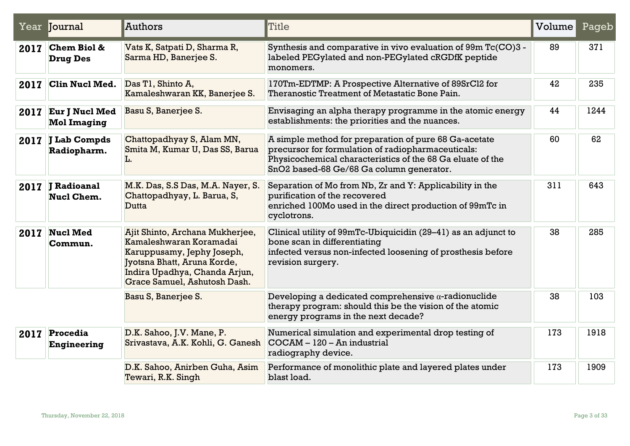|      | Year Journal                          | Authors                                                                                                                                                                                  | Title                                                                                                                                                                                                                 | Volume | Pageb |
|------|---------------------------------------|------------------------------------------------------------------------------------------------------------------------------------------------------------------------------------------|-----------------------------------------------------------------------------------------------------------------------------------------------------------------------------------------------------------------------|--------|-------|
| 2017 | Chem Biol &<br><b>Drug Des</b>        | Vats K, Satpati D, Sharma R,<br>Sarma HD, Banerjee S.                                                                                                                                    | Synthesis and comparative in vivo evaluation of 99m Tc(CO)3 -<br>labeled PEGylated and non-PEGylated cRGDfK peptide<br>monomers.                                                                                      | 89     | 371   |
| 2017 | <b>Clin Nucl Med.</b>                 | Das T1, Shinto A,<br>Kamaleshwaran KK, Banerjee S.                                                                                                                                       | 170Tm-EDTMP: A Prospective Alternative of 89SrCl2 for<br>Theranostic Treatment of Metastatic Bone Pain.                                                                                                               | 42     | 235   |
| 2017 | Eur J Nucl Med<br><b>Mol Imaging</b>  | Basu S, Banerjee S.                                                                                                                                                                      | Envisaging an alpha therapy programme in the atomic energy<br>establishments: the priorities and the nuances.                                                                                                         | 44     | 1244  |
|      | 2017 J Lab Compds<br>Radiopharm.      | Chattopadhyay S, Alam MN,<br>Smita M, Kumar U, Das SS, Barua<br>L.                                                                                                                       | A simple method for preparation of pure 68 Ga-acetate<br>precursor for formulation of radiopharmaceuticals:<br>Physicochemical characteristics of the 68 Ga eluate of the<br>SnO2 based-68 Ge/68 Ga column generator. | 60     | 62    |
|      | 2017 J Radioanal<br><b>Nucl Chem.</b> | M.K. Das, S.S Das, M.A. Nayer, S.<br>Chattopadhyay, L. Barua, S,<br><b>Dutta</b>                                                                                                         | Separation of Mo from Nb, Zr and Y: Applicability in the<br>purification of the recovered<br>enriched 100Mo used in the direct production of 99mTc in<br>cyclotrons.                                                  | 311    | 643   |
| 2017 | <b>Nucl Med</b><br>Commun.            | Ajit Shinto, Archana Mukherjee,<br>Kamaleshwaran Koramadai<br>Karuppusamy, Jephy Joseph,<br>Jyotsna Bhatt, Aruna Korde,<br>Indira Upadhya, Chanda Arjun,<br>Grace Samuel, Ashutosh Dash. | Clinical utility of 99mTc-Ubiquicidin (29-41) as an adjunct to<br>bone scan in differentiating<br>infected versus non-infected loosening of prosthesis before<br>revision surgery.                                    | 38     | 285   |
|      |                                       | Basu S, Banerjee S.                                                                                                                                                                      | Developing a dedicated comprehensive $\alpha$ -radionuclide<br>therapy program: should this be the vision of the atomic<br>energy programs in the next decade?                                                        | 38     | 103   |
| 2017 | Procedia<br><b>Engineering</b>        | D.K. Sahoo, J.V. Mane, P.<br>Srivastava, A.K. Kohli, G. Ganesh                                                                                                                           | Numerical simulation and experimental drop testing of<br>COCAM - 120 - An industrial<br>radiography device.                                                                                                           | 173    | 1918  |
|      |                                       | D.K. Sahoo, Anirben Guha, Asim<br>Tewari, R.K. Singh                                                                                                                                     | Performance of monolithic plate and layered plates under<br>blast load.                                                                                                                                               | 173    | 1909  |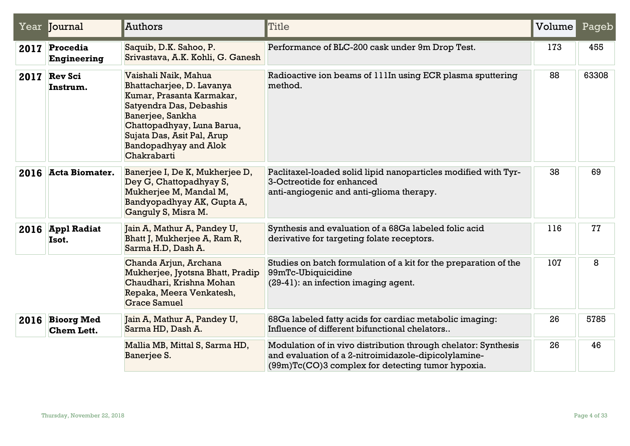|      | Year <b>Journal</b>                  | Authors                                                                                                                                                                                                                                  | Title                                                                                                                                                                       | Volume | Pageb |
|------|--------------------------------------|------------------------------------------------------------------------------------------------------------------------------------------------------------------------------------------------------------------------------------------|-----------------------------------------------------------------------------------------------------------------------------------------------------------------------------|--------|-------|
| 2017 | Procedia<br><b>Engineering</b>       | Saquib, D.K. Sahoo, P.<br>Srivastava, A.K. Kohli, G. Ganesh                                                                                                                                                                              | Performance of BLC-200 cask under 9m Drop Test.                                                                                                                             | 173    | 455   |
| 2017 | <b>Rev Sci</b><br>Instrum.           | Vaishali Naik, Mahua<br>Bhattacharjee, D. Lavanya<br>Kumar, Prasanta Karmakar,<br>Satyendra Das, Debashis<br>Banerjee, Sankha<br>Chattopadhyay, Luna Barua,<br>Sujata Das, Asit Pal, Arup<br><b>Bandopadhyay and Alok</b><br>Chakrabarti | Radioactive ion beams of 111In using ECR plasma sputtering<br>method.                                                                                                       | 88     | 63308 |
| 2016 | <b>Acta Biomater.</b>                | Banerjee I, De K, Mukherjee D,<br>Dey G, Chattopadhyay S,<br>Mukherjee M, Mandal M,<br>Bandyopadhyay AK, Gupta A,<br>Ganguly S, Misra M.                                                                                                 | Paclitaxel-loaded solid lipid nanoparticles modified with Tyr-<br>3-Octreotide for enhanced<br>anti-angiogenic and anti-glioma therapy.                                     | 38     | 69    |
|      | 2016 Appl Radiat<br>Isot.            | Jain A, Mathur A, Pandey U,<br>Bhatt J, Mukherjee A, Ram R,<br>Sarma H.D, Dash A.                                                                                                                                                        | Synthesis and evaluation of a 68Ga labeled folic acid<br>derivative for targeting folate receptors.                                                                         | 116    | 77    |
|      |                                      | Chanda Arjun, Archana<br>Mukherjee, Jyotsna Bhatt, Pradip<br>Chaudhari, Krishna Mohan<br>Repaka, Meera Venkatesh,<br><b>Grace Samuel</b>                                                                                                 | Studies on batch formulation of a kit for the preparation of the<br>99mTc-Ubiquicidine<br>(29-41): an infection imaging agent.                                              | 107    | 8     |
|      | 2016 Bioorg Med<br><b>Chem Lett.</b> | Jain A, Mathur A, Pandey U,<br>Sarma HD, Dash A.                                                                                                                                                                                         | 68Ga labeled fatty acids for cardiac metabolic imaging:<br>Influence of different bifunctional chelators                                                                    | 26     | 5785  |
|      |                                      | Mallia MB, Mittal S, Sarma HD,<br>Banerjee S.                                                                                                                                                                                            | Modulation of in vivo distribution through chelator: Synthesis<br>and evaluation of a 2-nitroimidazole-dipicolylamine-<br>(99m)Tc(CO)3 complex for detecting tumor hypoxia. | 26     | 46    |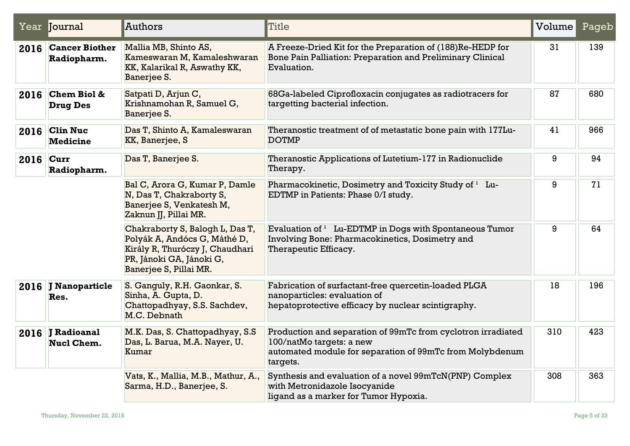|      | Year Journal                       | Authors                                                                                                                                                  | <b>Title</b>                                                                                                                                                     | Volume | Pageb |
|------|------------------------------------|----------------------------------------------------------------------------------------------------------------------------------------------------------|------------------------------------------------------------------------------------------------------------------------------------------------------------------|--------|-------|
|      | 2016 Cancer Biother<br>Radiopharm. | Mallia MB, Shinto AS,<br>Kameswaran M, Kamaleshwaran<br>KK, Kalarikal R, Aswathy KK,<br>Banerjee S.                                                      | A Freeze-Dried Kit for the Preparation of (188)Re-HEDP for<br>Bone Pain Palliation: Preparation and Preliminary Clinical<br>Evaluation.                          | 31     | 139   |
| 2016 | Chem Biol &<br><b>Drug Des</b>     | Satpati D, Arjun C,<br>Krishnamohan R, Samuel G,<br>Banerjee S.                                                                                          | 68Ga-labeled Ciprofloxacin conjugates as radiotracers for<br>targetting bacterial infection.                                                                     | 87     | 680   |
| 2016 | <b>Clin Nuc</b><br><b>Medicine</b> | Das T, Shinto A, Kamaleswaran<br>KK, Banerjee, S                                                                                                         | Theranostic treatment of of metastatic bone pain with 177Lu-<br><b>DOTMP</b>                                                                                     | 41     | 966   |
|      | 2016 Curr<br>Radiopharm.           | Das T, Banerjee S.                                                                                                                                       | Theranostic Applications of Lutetium-177 in Radionuclide<br>Therapy.                                                                                             | 9      | 94    |
|      |                                    | Bal C, Arora G, Kumar P, Damle<br>N, Das T, Chakraborty S,<br>Banerjee S, Venkatesh M,<br>Zaknun JJ, Pillai MR.                                          | Pharmacokinetic, Dosimetry and Toxicity Study of <sup>1</sup> Lu-<br>EDTMP in Patients: Phase 0/I study.                                                         | 9      | 71    |
|      |                                    | Chakraborty S, Balogh L, Das T,<br>Polyák A, Andócs G, Máthé D,<br>Király R, Thuróczy J, Chaudhari<br>PR, Jánoki GA, Jánoki G,<br>Banerjee S, Pillai MR. | Evaluation of $1$ Lu-EDTMP in Dogs with Spontaneous Tumor<br>Involving Bone: Pharmacokinetics, Dosimetry and<br>Therapeutic Efficacy.                            | 9      | 64    |
|      | 2016 J Nanoparticle<br>Res.        | S. Ganguly, R.H. Gaonkar, S.<br>Sinha, A. Gupta, D.<br>Chattopadhyay, S.S. Sachdev,<br>M.C. Debnath                                                      | Fabrication of surfactant-free quercetin-loaded PLGA<br>nanoparticles: evaluation of<br>hepatoprotective efficacy by nuclear scintigraphy.                       | 18     | 196   |
|      | 2016 J Radioanal<br>Nucl Chem.     | M.K. Das, S. Chattopadhyay, S.S.<br>Das, L. Barua, M.A. Nayer, U.<br>Kumar                                                                               | Production and separation of 99mTc from cyclotron irradiated<br>100/natMo targets: a new<br>automated module for separation of 99mTc from Molybdenum<br>targets. | 310    | 423   |
|      |                                    | Vats, K., Mallia, M.B., Mathur, A.,<br>Sarma, H.D., Banerjee, S.                                                                                         | Synthesis and evaluation of a novel 99mTcN(PNP) Complex<br>with Metronidazole Isocyanide<br>ligand as a marker for Tumor Hypoxia.                                | 308    | 363   |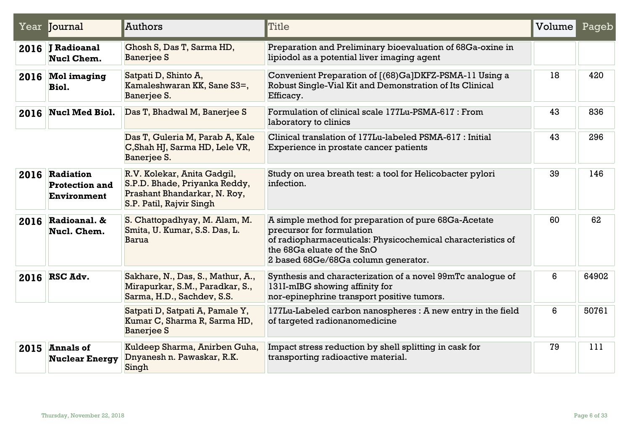|      | Year Journal                                           | Authors                                                                                                                  | <b>Title</b>                                                                                                                                                                                                          | Volume | Pageb |
|------|--------------------------------------------------------|--------------------------------------------------------------------------------------------------------------------------|-----------------------------------------------------------------------------------------------------------------------------------------------------------------------------------------------------------------------|--------|-------|
|      | 2016 J Radioanal<br>Nucl Chem.                         | Ghosh S, Das T, Sarma HD,<br><b>Banerjee S</b>                                                                           | Preparation and Preliminary bioevaluation of 68Ga-oxine in<br>lipiodol as a potential liver imaging agent                                                                                                             |        |       |
|      | 2016 Mol imaging<br>Biol.                              | Satpati D, Shinto A,<br>Kamaleshwaran KK, Sane S3=,<br>Banerjee S.                                                       | Convenient Preparation of [(68)Ga]DKFZ-PSMA-11 Using a<br>Robust Single-Vial Kit and Demonstration of Its Clinical<br>Efficacy.                                                                                       | 18     | 420   |
| 2016 | Nucl Med Biol.                                         | Das T, Bhadwal M, Banerjee S                                                                                             | Formulation of clinical scale 177Lu-PSMA-617 : From<br>laboratory to clinics                                                                                                                                          | 43     | 836   |
|      |                                                        | Das T, Guleria M, Parab A, Kale<br>C, Shah HJ, Sarma HD, Lele VR,<br>Banerjee S.                                         | Clinical translation of 177Lu-labeled PSMA-617 : Initial<br>Experience in prostate cancer patients                                                                                                                    | 43     | 296   |
|      | 2016 Radiation<br><b>Protection and</b><br>Environment | R.V. Kolekar, Anita Gadgil,<br>S.P.D. Bhade, Priyanka Reddy,<br>Prashant Bhandarkar, N. Roy,<br>S.P. Patil, Rajvir Singh | Study on urea breath test: a tool for Helicobacter pylori<br>infection.                                                                                                                                               | 39     | 146   |
|      | 2016 Radioanal. &<br>Nucl. Chem.                       | S. Chattopadhyay, M. Alam, M.<br>Smita, U. Kumar, S.S. Das, L.<br><b>Barua</b>                                           | A simple method for preparation of pure 68Ga-Acetate<br>precursor for formulation<br>of radiopharmaceuticals: Physicochemical characteristics of<br>the 68Ga eluate of the SnO<br>2 based 68Ge/68Ga column generator. | 60     | 62    |
|      | 2016 RSC Adv.                                          | Sakhare, N., Das, S., Mathur, A.,<br>Mirapurkar, S.M., Paradkar, S.,<br>Sarma, H.D., Sachdev, S.S.                       | Synthesis and characterization of a novel 99mTc analogue of<br>131I-mIBG showing affinity for<br>nor-epinephrine transport positive tumors.                                                                           | 6      | 64902 |
|      |                                                        | Satpati D, Satpati A, Pamale Y,<br>Kumar C, Sharma R, Sarma HD,<br><b>Banerjee S</b>                                     | 177Lu-Labeled carbon nanospheres : A new entry in the field<br>of targeted radionanomedicine                                                                                                                          | 6      | 50761 |
|      | $2015$ Annals of<br><b>Nuclear Energy</b>              | Kuldeep Sharma, Anirben Guha,<br>Dnyanesh n. Pawaskar, R.K.<br>Singh                                                     | Impact stress reduction by shell splitting in cask for<br>transporting radioactive material.                                                                                                                          | 79     | 111   |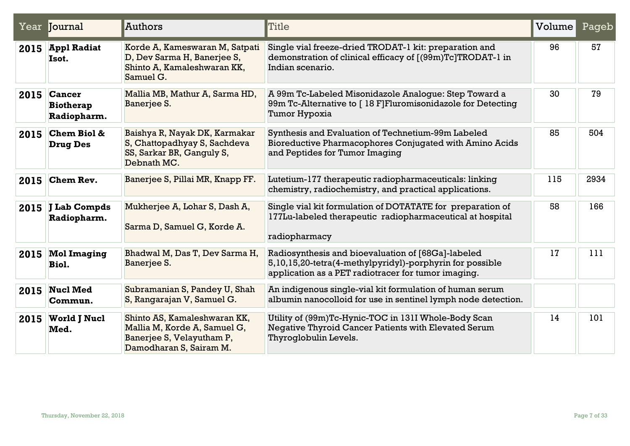|      | Year Journal                                     | Authors                                                                                                              | Title                                                                                                                                                                 | Volume | Pageb |
|------|--------------------------------------------------|----------------------------------------------------------------------------------------------------------------------|-----------------------------------------------------------------------------------------------------------------------------------------------------------------------|--------|-------|
| 2015 | Appl Radiat<br>Isot.                             | Korde A, Kameswaran M, Satpati<br>D, Dev Sarma H, Banerjee S,<br>Shinto A, Kamaleshwaran KK,<br>Samuel G.            | Single vial freeze-dried TRODAT-1 kit: preparation and<br>demonstration of clinical efficacy of [(99m)Tc]TRODAT-1 in<br>Indian scenario.                              | 96     | 57    |
|      | $2015$ Cancer<br><b>Biotherap</b><br>Radiopharm. | Mallia MB, Mathur A, Sarma HD,<br>Banerjee S.                                                                        | A 99m Tc-Labeled Misonidazole Analogue: Step Toward a<br>99m Tc-Alternative to [18 F]Fluromisonidazole for Detecting<br>Tumor Hypoxia                                 | 30     | 79    |
| 2015 | <b>Chem Biol &amp;</b><br><b>Drug Des</b>        | Baishya R, Nayak DK, Karmakar<br>S, Chattopadhyay S, Sachdeva<br>SS, Sarkar BR, Ganguly S,<br>Debnath MC.            | Synthesis and Evaluation of Technetium-99m Labeled<br>Bioreductive Pharmacophores Conjugated with Amino Acids<br>and Peptides for Tumor Imaging                       | 85     | 504   |
| 2015 | <b>Chem Rev.</b>                                 | Banerjee S, Pillai MR, Knapp FF.                                                                                     | Lutetium-177 therapeutic radiopharmaceuticals: linking<br>chemistry, radiochemistry, and practical applications.                                                      | 115    | 2934  |
|      | 2015 J Lab Compds<br>Radiopharm.                 | Mukherjee A, Lohar S, Dash A,<br>Sarma D, Samuel G, Korde A.                                                         | Single vial kit formulation of DOTATATE for preparation of<br>177Lu-labeled therapeutic radiopharmaceutical at hospital<br>radiopharmacy                              | 58     | 166   |
| 2015 | <b>Mol Imaging</b><br>Biol.                      | Bhadwal M, Das T, Dev Sarma H,<br>Banerjee S.                                                                        | Radiosynthesis and bioevaluation of [68Ga]-labeled<br>5,10,15,20-tetra(4-methylpyridyl)-porphyrin for possible<br>application as a PET radiotracer for tumor imaging. | 17     | 111   |
| 2015 | <b>Nucl Med</b><br>Commun.                       | Subramanian S, Pandey U, Shah<br>S, Rangarajan V, Samuel G.                                                          | An indigenous single-vial kit formulation of human serum<br>albumin nanocolloid for use in sentinel lymph node detection.                                             |        |       |
|      | 2015 World J Nucl<br>Med.                        | Shinto AS, Kamaleshwaran KK,<br>Mallia M, Korde A, Samuel G,<br>Banerjee S, Velayutham P,<br>Damodharan S, Sairam M. | Utility of (99m)Tc-Hynic-TOC in 131I Whole-Body Scan<br>Negative Thyroid Cancer Patients with Elevated Serum<br>Thyroglobulin Levels.                                 | 14     | 101   |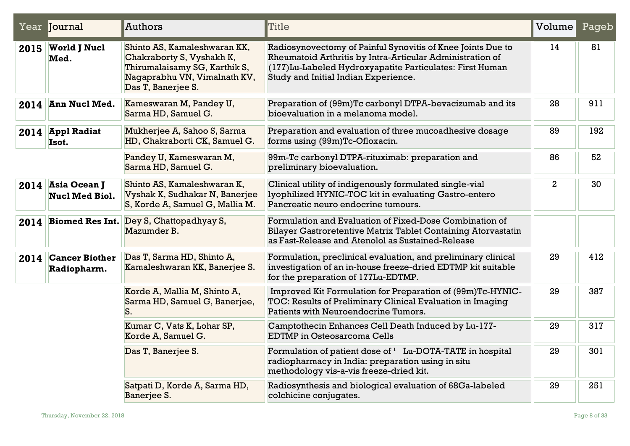|      | Year Journal                               | Authors                                                                                                                                          | Title                                                                                                                                                                                                                         | Volume       | Pageb |
|------|--------------------------------------------|--------------------------------------------------------------------------------------------------------------------------------------------------|-------------------------------------------------------------------------------------------------------------------------------------------------------------------------------------------------------------------------------|--------------|-------|
|      | 2015 World J Nucl<br>Med.                  | Shinto AS, Kamaleshwaran KK,<br>Chakraborty S, Vyshakh K,<br>Thirumalaisamy SG, Karthik S,<br>Nagaprabhu VN, Vimalnath KV,<br>Das T, Banerjee S. | Radiosynovectomy of Painful Synovitis of Knee Joints Due to<br>Rheumatoid Arthritis by Intra-Articular Administration of<br>(177) Lu-Labeled Hydroxyapatite Particulates: First Human<br>Study and Initial Indian Experience. | 14           | 81    |
| 2014 | <b>Ann Nucl Med.</b>                       | Kameswaran M, Pandey U,<br>Sarma HD, Samuel G.                                                                                                   | Preparation of (99m)Tc carbonyl DTPA-bevacizumab and its<br>bioevaluation in a melanoma model.                                                                                                                                | 28           | 911   |
|      | 2014 Appl Radiat<br>Isot.                  | Mukherjee A, Sahoo S, Sarma<br>HD, Chakraborti CK, Samuel G.                                                                                     | Preparation and evaluation of three mucoadhesive dosage<br>forms using (99m)Tc-Ofloxacin.                                                                                                                                     | 89           | 192   |
|      |                                            | Pandey U, Kameswaran M,<br>Sarma HD, Samuel G.                                                                                                   | 99m-Tc carbonyl DTPA-rituximab: preparation and<br>preliminary bioevaluation.                                                                                                                                                 | 86           | 52    |
|      | 2014 Asia Ocean J<br><b>Nucl Med Biol.</b> | Shinto AS, Kamaleshwaran K,<br>Vyshak K, Sudhakar N, Banerjee<br>S, Korde A, Samuel G, Mallia M.                                                 | Clinical utility of indigenously formulated single-vial<br>lyophilized HYNIC-TOC kit in evaluating Gastro-entero<br>Pancreatic neuro endocrine tumours.                                                                       | $\mathbf{2}$ | 30    |
|      | 2014 Biomed Res Int.                       | Dey S, Chattopadhyay S,<br>Mazumder B.                                                                                                           | Formulation and Evaluation of Fixed-Dose Combination of<br>Bilayer Gastroretentive Matrix Tablet Containing Atorvastatin<br>as Fast-Release and Atenolol as Sustained-Release                                                 |              |       |
| 2014 | <b>Cancer Biother</b><br>Radiopharm.       | Das T, Sarma HD, Shinto A,<br>Kamaleshwaran KK, Banerjee S.                                                                                      | Formulation, preclinical evaluation, and preliminary clinical<br>investigation of an in-house freeze-dried EDTMP kit suitable<br>for the preparation of 177Lu-EDTMP.                                                          | 29           | 412   |
|      |                                            | Korde A, Mallia M, Shinto A,<br>Sarma HD, Samuel G, Banerjee,<br>S.                                                                              | Improved Kit Formulation for Preparation of (99m)Tc-HYNIC-<br>TOC: Results of Preliminary Clinical Evaluation in Imaging<br>Patients with Neuroendocrine Tumors.                                                              | 29           | 387   |
|      |                                            | Kumar C, Vats K, Lohar SP,<br>Korde A, Samuel G.                                                                                                 | Camptothecin Enhances Cell Death Induced by Lu-177-<br><b>EDTMP</b> in Osteosarcoma Cells                                                                                                                                     | 29           | 317   |
|      |                                            | Das T, Banerjee S.                                                                                                                               | Formulation of patient dose of <sup>1</sup> Lu-DOTA-TATE in hospital<br>radiopharmacy in India: preparation using in situ<br>methodology vis-a-vis freeze-dried kit.                                                          | 29           | 301   |
|      |                                            | Satpati D, Korde A, Sarma HD,<br>Banerjee S.                                                                                                     | Radiosynthesis and biological evaluation of 68Ga-labeled<br>colchicine conjugates.                                                                                                                                            | 29           | 251   |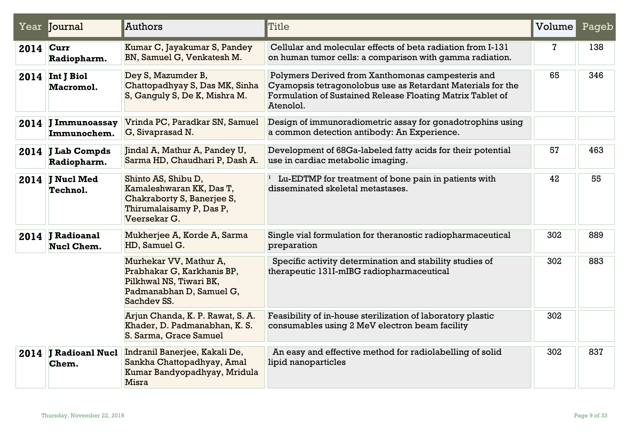|      | Year Journal                          | Authors                                                                                                                    | Title                                                                                                                                                                                       | Volume | Pageb |
|------|---------------------------------------|----------------------------------------------------------------------------------------------------------------------------|---------------------------------------------------------------------------------------------------------------------------------------------------------------------------------------------|--------|-------|
| 2014 | Curr<br>Radiopharm.                   | Kumar C, Jayakumar S, Pandey<br>BN, Samuel G, Venkatesh M.                                                                 | Cellular and molecular effects of beta radiation from I-131<br>on human tumor cells: a comparison with gamma radiation.                                                                     | 7      | 138   |
|      | $2014$ Int J Biol<br>Macromol.        | Dey S, Mazumder B,<br>Chattopadhyay S, Das MK, Sinha<br>S, Ganguly S, De K, Mishra M.                                      | Polymers Derived from Xanthomonas campesteris and<br>Cyamopsis tetragonolobus use as Retardant Materials for the<br>Formulation of Sustained Release Floating Matrix Tablet of<br>Atenolol. | 65     | 346   |
|      | 2014 J Immunoassay<br>Immunochem.     | Vrinda PC, Paradkar SN, Samuel<br>G, Sivaprasad N.                                                                         | Design of immunoradiometric assay for gonadotrophins using<br>a common detection antibody: An Experience.                                                                                   |        |       |
|      | 2014 J Lab Compds<br>Radiopharm.      | Jindal A, Mathur A, Pandey U,<br>Sarma HD, Chaudhari P, Dash A.                                                            | Development of 68Ga-labeled fatty acids for their potential<br>use in cardiac metabolic imaging.                                                                                            | 57     | 463   |
|      | 2014 J Nucl Med<br>Technol.           | Shinto AS, Shibu D,<br>Kamaleshwaran KK, Das T,<br>Chakraborty S, Banerjee S,<br>Thirumalaisamy P, Das P,<br>Veersekar G.  | $1$ Lu-EDTMP for treatment of bone pain in patients with<br>disseminated skeletal metastases.                                                                                               | 42     | 55    |
|      | 2014 J Radioanal<br><b>Nucl Chem.</b> | Mukherjee A, Korde A, Sarma<br>HD, Samuel G.                                                                               | Single vial formulation for theranostic radiopharmaceutical<br>preparation                                                                                                                  | 302    | 889   |
|      |                                       | Murhekar VV, Mathur A,<br>Prabhakar G, Karkhanis BP,<br>Pilkhwal NS, Tiwari BK,<br>Padmanabhan D, Samuel G,<br>Sachdev SS. | Specific activity determination and stability studies of<br>therapeutic 131I-mIBG radiopharmaceutical                                                                                       | 302    | 883   |
|      |                                       | Arjun Chanda, K. P. Rawat, S. A.<br>Khader, D. Padmanabhan, K. S.<br>S. Sarma, Grace Samuel                                | Feasibility of in-house sterilization of laboratory plastic<br>consumables using 2 MeV electron beam facility                                                                               | 302    |       |
|      | 2014 J Radioanl Nucl<br>Chem.         | Indranil Banerjee, Kakali De,<br>Sankha Chattopadhyay, Amal<br>Kumar Bandyopadhyay, Mridula<br><b>Misra</b>                | An easy and effective method for radiolabelling of solid<br>lipid nanoparticles                                                                                                             | 302    | 837   |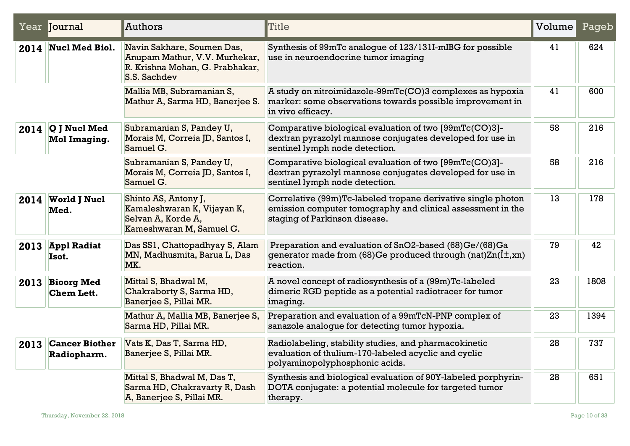|      | Year Journal                               | Authors                                                                                                        | Title                                                                                                                                                        | Volume | Pageb |
|------|--------------------------------------------|----------------------------------------------------------------------------------------------------------------|--------------------------------------------------------------------------------------------------------------------------------------------------------------|--------|-------|
|      | 2014 Nucl Med Biol.                        | Navin Sakhare, Soumen Das,<br>Anupam Mathur, V.V. Murhekar,<br>R. Krishna Mohan, G. Prabhakar,<br>S.S. Sachdev | Synthesis of 99mTc analogue of 123/131I-mIBG for possible<br>use in neuroendocrine tumor imaging                                                             | 41     | 624   |
|      |                                            | Mallia MB, Subramanian S,<br>Mathur A, Sarma HD, Banerjee S.                                                   | A study on nitroimidazole-99mTc(CO)3 complexes as hypoxia<br>marker: some observations towards possible improvement in<br>in vivo efficacy.                  | 41     | 600   |
|      | $2014$ Q J Nucl Med<br><b>Mol Imaging.</b> | Subramanian S, Pandey U,<br>Morais M, Correia JD, Santos I,<br>Samuel G.                                       | Comparative biological evaluation of two [99mTc(CO)3]-<br>dextran pyrazolyl mannose conjugates developed for use in<br>sentinel lymph node detection.        | 58     | 216   |
|      |                                            | Subramanian S, Pandey U,<br>Morais M, Correia JD, Santos I,<br>Samuel G.                                       | Comparative biological evaluation of two [99mTc(CO)3]-<br>dextran pyrazolyl mannose conjugates developed for use in<br>sentinel lymph node detection.        | 58     | 216   |
|      | 2014 World J Nucl<br>Med.                  | Shinto AS, Antony J,<br>Kamaleshwaran K, Vijayan K,<br>Selvan A, Korde A,<br>Kameshwaran M, Samuel G.          | Correlative (99m)Tc-labeled tropane derivative single photon<br>emission computer tomography and clinical assessment in the<br>staging of Parkinson disease. | 13     | 178   |
|      | 2013 Appl Radiat<br>Isot.                  | Das SS1, Chattopadhyay S, Alam<br>MN, Madhusmita, Barua L, Das<br>MK.                                          | Preparation and evaluation of SnO2-based (68)Ge/(68)Ga<br>generator made from (68)Ge produced through (nat) $Zn(\hat{I}\pm,xn)$<br>reaction.                 | 79     | 42    |
| 2013 | <b>Bioorg Med</b><br><b>Chem Lett.</b>     | Mittal S, Bhadwal M,<br>Chakraborty S, Sarma HD,<br>Banerjee S, Pillai MR.                                     | A novel concept of radiosynthesis of a (99m)Tc-labeled<br>dimeric RGD peptide as a potential radiotracer for tumor<br>imaging.                               | 23     | 1808  |
|      |                                            | Mathur A, Mallia MB, Banerjee S,<br>Sarma HD, Pillai MR.                                                       | Preparation and evaluation of a 99mTcN-PNP complex of<br>sanazole analoque for detecting tumor hypoxia.                                                      | 23     | 1394  |
| 2013 | <b>Cancer Biother</b><br>Radiopharm.       | Vats K, Das T, Sarma HD,<br>Banerjee S, Pillai MR.                                                             | Radiolabeling, stability studies, and pharmacokinetic<br>evaluation of thulium-170-labeled acyclic and cyclic<br>polyaminopolyphosphonic acids.              | 28     | 737   |
|      |                                            | Mittal S, Bhadwal M, Das T,<br>Sarma HD, Chakravarty R, Dash<br>A, Banerjee S, Pillai MR.                      | Synthesis and biological evaluation of 90Y-labeled porphyrin-<br>DOTA conjugate: a potential molecule for targeted tumor<br>therapy.                         | 28     | 651   |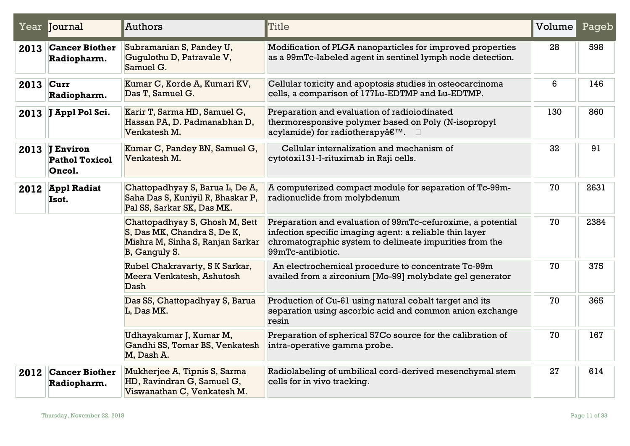|             | Year Journal                                      | Authors                                                                                                            | Title                                                                                                                                                                                                  | Volume | Pageb |
|-------------|---------------------------------------------------|--------------------------------------------------------------------------------------------------------------------|--------------------------------------------------------------------------------------------------------------------------------------------------------------------------------------------------------|--------|-------|
| 2013        | <b>Cancer Biother</b><br>Radiopharm.              | Subramanian S, Pandey U,<br>Gugulothu D, Patravale V,<br>Samuel G.                                                 | Modification of PLGA nanoparticles for improved properties<br>as a 99mTc-labeled agent in sentinel lymph node detection.                                                                               | 28     | 598   |
| $2013$ Curr | Radiopharm.                                       | Kumar C, Korde A, Kumari KV,<br>Das T, Samuel G.                                                                   | Cellular toxicity and apoptosis studies in osteocarcinoma<br>cells, a comparison of 177Lu-EDTMP and Lu-EDTMP.                                                                                          | 6      | 146   |
|             | 2013 J Appl Pol Sci.                              | Karir T, Sarma HD, Samuel G,<br>Hassan PA, D. Padmanabhan D,<br>Venkatesh M.                                       | Preparation and evaluation of radioiodinated<br>thermoresponsive polymer based on Poly (N-isopropyl<br>acylamide) for radiotherapy'. □                                                                 | 130    | 860   |
|             | 2013 J Environ<br><b>Pathol Toxicol</b><br>Oncol. | Kumar C, Pandey BN, Samuel G,<br>Venkatesh M.                                                                      | Cellular internalization and mechanism of<br>cytotoxi131-I-rituximab in Raji cells.                                                                                                                    | 32     | 91    |
|             | 2012 Appl Radiat<br>Isot.                         | Chattopadhyay S, Barua L, De A,<br>Saha Das S, Kuniyil R, Bhaskar P,<br>Pal SS, Sarkar SK, Das MK.                 | A computerized compact module for separation of Tc-99m-<br>radionuclide from molybdenum                                                                                                                | 70     | 2631  |
|             |                                                   | Chattopadhyay S, Ghosh M, Sett<br>S, Das MK, Chandra S, De K,<br>Mishra M, Sinha S, Ranjan Sarkar<br>B, Ganguly S. | Preparation and evaluation of 99mTc-cefuroxime, a potential<br>infection specific imaging agent: a reliable thin layer<br>chromatographic system to delineate impurities from the<br>99mTc-antibiotic. | 70     | 2384  |
|             |                                                   | Rubel Chakravarty, SK Sarkar,<br>Meera Venkatesh, Ashutosh<br>Dash                                                 | An electrochemical procedure to concentrate Tc-99m<br>availed from a zirconium [Mo-99] molybdate gel generator                                                                                         | 70     | 375   |
|             |                                                   | Das SS, Chattopadhyay S, Barua<br>L, Das MK.                                                                       | Production of Cu-61 using natural cobalt target and its<br>separation using ascorbic acid and common anion exchange<br>resin                                                                           | 70     | 365   |
|             |                                                   | Udhayakumar J, Kumar M,<br>Gandhi SS, Tomar BS, Venkatesh<br>M, Dash A.                                            | Preparation of spherical 57Co source for the calibration of<br>intra-operative gamma probe.                                                                                                            | 70     | 167   |
| 2012        | <b>Cancer Biother</b><br>Radiopharm.              | Mukherjee A, Tipnis S, Sarma<br>HD, Ravindran G, Samuel G,<br>Viswanathan C, Venkatesh M.                          | Radiolabeling of umbilical cord-derived mesenchymal stem<br>cells for in vivo tracking.                                                                                                                | 27     | 614   |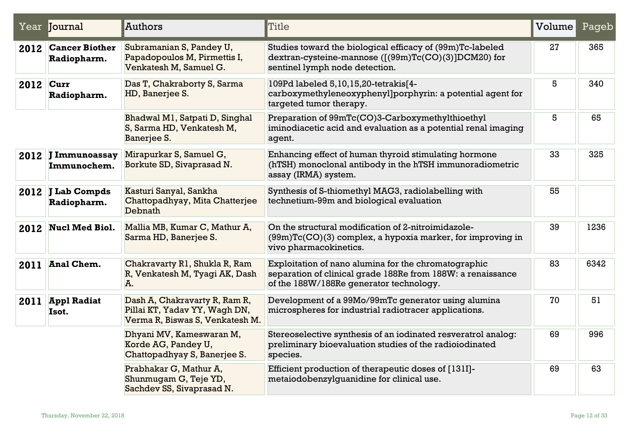|           | Year Journal                         | Authors                                                                                           | Title                                                                                                                                                          | Volume | Pageb |
|-----------|--------------------------------------|---------------------------------------------------------------------------------------------------|----------------------------------------------------------------------------------------------------------------------------------------------------------------|--------|-------|
| 2012      | <b>Cancer Biother</b><br>Radiopharm. | Subramanian S, Pandey U,<br>Papadopoulos M, Pirmettis I,<br>Venkatesh M, Samuel G.                | Studies toward the biological efficacy of (99m)Tc-labeled<br>dextran-cysteine-mannose ([(99m)Tc(CO)(3)]DCM20) for<br>sentinel lymph node detection.            | 27     | 365   |
| 2012 Curr | Radiopharm.                          | Das T, Chakraborty S, Sarma<br>HD, Banerjee S.                                                    | 109Pd labeled 5,10,15,20-tetrakis[4-<br>carboxymethyleneoxyphenyl]porphyrin: a potential agent for<br>targeted tumor therapy.                                  | 5      | 340   |
|           |                                      | Bhadwal M1, Satpati D, Singhal<br>S, Sarma HD, Venkatesh M,<br>Banerjee S.                        | Preparation of 99mTc(CO)3-Carboxymethylthioethyl<br>iminodiacetic acid and evaluation as a potential renal imaging<br>agent.                                   | 5      | 65    |
|           | 2012 J Immunoassay<br>Immunochem.    | Mirapurkar S, Samuel G,<br>Borkute SD, Sivaprasad N.                                              | Enhancing effect of human thyroid stimulating hormone<br>(hTSH) monoclonal antibody in the hTSH immunoradiometric<br>assay (IRMA) system.                      | 33     | 325   |
|           | 2012 J Lab Compds<br>Radiopharm.     | Kasturi Sanyal, Sankha<br>Chattopadhyay, Mita Chatterjee<br>Debnath                               | Synthesis of S-thiomethyl MAG3, radiolabelling with<br>technetium-99m and biological evaluation                                                                | 55     |       |
|           | 2012 Nucl Med Biol.                  | Mallia MB, Kumar C, Mathur A,<br>Sarma HD, Banerjee S.                                            | On the structural modification of 2-nitroimidazole-<br>$(99m)Tc(CO)(3)$ complex, a hypoxia marker, for improving in<br>vivo pharmacokinetics.                  | 39     | 1236  |
| 2011      | Anal Chem.                           | Chakravarty R1, Shukla R, Ram<br>R, Venkatesh M, Tyagi AK, Dash<br>A.                             | Exploitation of nano alumina for the chromatographic<br>separation of clinical grade 188Re from 188W: a renaissance<br>of the 188W/188Re generator technology. | 83     | 6342  |
| 2011      | <b>Appl Radiat</b><br>Isot.          | Dash A, Chakravarty R, Ram R,<br>Pillai KT, Yadav YY, Wagh DN,<br>Verma R, Biswas S, Venkatesh M. | Development of a 99Mo/99mTc generator using alumina<br>microspheres for industrial radiotracer applications.                                                   | 70     | 51    |
|           |                                      | Dhyani MV, Kameswaran M,<br>Korde AG, Pandey U,<br>Chattopadhyay S, Banerjee S.                   | Stereoselective synthesis of an iodinated resveratrol analog:<br>preliminary bioevaluation studies of the radioiodinated<br>species.                           | 69     | 996   |
|           |                                      | Prabhakar G, Mathur A,<br>Shunmugam G, Teje YD,<br>Sachdev SS, Sivaprasad N.                      | Efficient production of therapeutic doses of [131I]-<br>metaiodobenzylguanidine for clinical use.                                                              | 69     | 63    |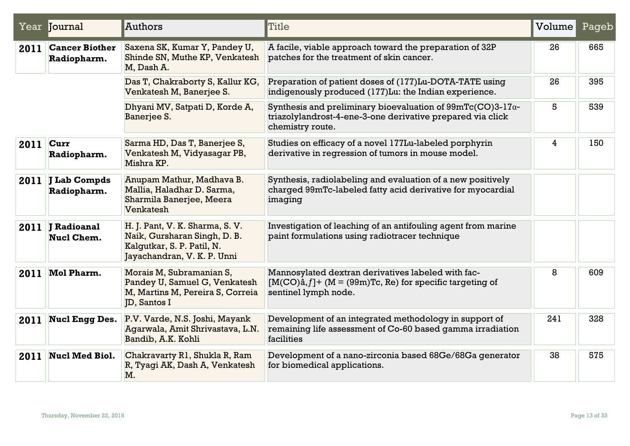|      | Year Journal                            | Authors                                                                                                                      | Title                                                                                                                                                | Volume | Pageb |
|------|-----------------------------------------|------------------------------------------------------------------------------------------------------------------------------|------------------------------------------------------------------------------------------------------------------------------------------------------|--------|-------|
| 2011 | <b>Cancer Biother</b><br>Radiopharm.    | Saxena SK, Kumar Y, Pandey U,<br>Shinde SN, Muthe KP, Venkatesh<br>M, Dash A.                                                | A facile, viable approach toward the preparation of 32P<br>patches for the treatment of skin cancer.                                                 | 26     | 665   |
|      |                                         | Das T, Chakraborty S, Kallur KG,<br>Venkatesh M, Banerjee S.                                                                 | Preparation of patient doses of (177)Lu-DOTA-TATE using<br>indigenously produced (177)Lu: the Indian experience.                                     | 26     | 395   |
|      |                                         | Dhyani MV, Satpati D, Korde A,<br>Banerjee S.                                                                                | Synthesis and preliminary bioevaluation of $99mTc(CO)3-17\alpha$ -<br>triazolylandrost-4-ene-3-one derivative prepared via click<br>chemistry route. | 5      | 539   |
| 2011 | Curr<br>Radiopharm.                     | Sarma HD, Das T, Banerjee S,<br>Venkatesh M, Vidyasagar PB,<br>Mishra KP.                                                    | Studies on efficacy of a novel 177Lu-labeled porphyrin<br>derivative in regression of tumors in mouse model.                                         | 4      | 150   |
| 2011 | J Lab Compds<br>Radiopharm.             | Anupam Mathur, Madhava B.<br>Mallia, Haladhar D. Sarma,<br>Sharmila Banerjee, Meera<br>Venkatesh                             | Synthesis, radiolabeling and evaluation of a new positively<br>charged 99mTc-labeled fatty acid derivative for myocardial<br>imaging                 |        |       |
| 2011 | <b>J</b> Radioanal<br><b>Nucl Chem.</b> | H. J. Pant, V. K. Sharma, S. V.<br>Naik, Gursharan Singh, D. B.<br>Kalgutkar, S. P. Patil, N.<br>Jayachandran, V. K. P. Unni | Investigation of leaching of an antifouling agent from marine<br>paint formulations using radiotracer technique                                      |        |       |
| 2011 | <b>Mol Pharm.</b>                       | Morais M, Subramanian S,<br>Pandey U, Samuel G, Venkatesh<br>M, Martins M, Pereira S, Correia<br>JD, Santos I                | Mannosylated dextran derivatives labeled with fac-<br>$[M(CO)\hat{a}, f]$ + (M = (99m)Tc, Re) for specific targeting of<br>sentinel lymph node.      | 8      | 609   |
| 2011 | <b>Nucl Engg Des.</b>                   | P.V. Varde, N.S. Joshi, Mayank<br>Agarwala, Amit Shrivastava, L.N.<br>Bandib, A.K. Kohli                                     | Development of an integrated methodology in support of<br>remaining life assessment of Co-60 based gamma irradiation<br>facilities                   | 241    | 328   |
| 2011 | <b>Nucl Med Biol.</b>                   | Chakravarty R1, Shukla R, Ram<br>R, Tyagi AK, Dash A, Venkatesh<br>M.                                                        | Development of a nano-zirconia based 68Ge/68Ga generator<br>for biomedical applications.                                                             | 38     | 575   |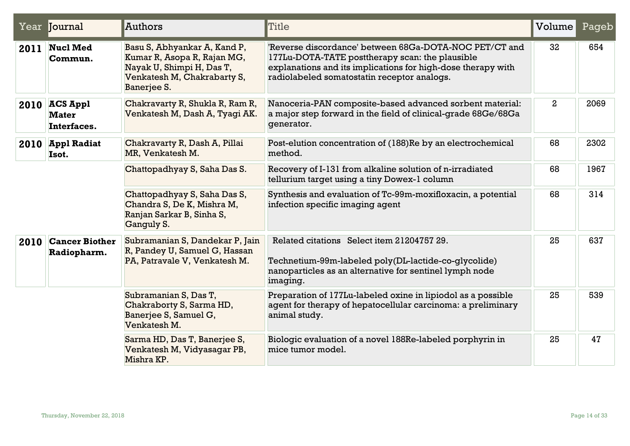|      | Year Journal                                   | Authors                                                                                                                                | Title                                                                                                                                                                                                                    | Volume         | Pageb |
|------|------------------------------------------------|----------------------------------------------------------------------------------------------------------------------------------------|--------------------------------------------------------------------------------------------------------------------------------------------------------------------------------------------------------------------------|----------------|-------|
| 2011 | <b>Nucl Med</b><br>Commun.                     | Basu S, Abhyankar A, Kand P,<br>Kumar R, Asopa R, Rajan MG,<br>Nayak U, Shimpi H, Das T,<br>Venkatesh M, Chakrabarty S,<br>Banerjee S. | 'Reverse discordance' between 68Ga-DOTA-NOC PET/CT and<br>177Lu-DOTA-TATE posttherapy scan: the plausible<br>explanations and its implications for high-dose therapy with<br>radiolabeled somatostatin receptor analogs. | 32             | 654   |
|      | $2010$ ACS Appl<br><b>Mater</b><br>Interfaces. | Chakravarty R, Shukla R, Ram R,<br>Venkatesh M, Dash A, Tyagi AK.                                                                      | Nanoceria-PAN composite-based advanced sorbent material:<br>a major step forward in the field of clinical-grade 68Ge/68Ga<br>generator.                                                                                  | $\overline{2}$ | 2069  |
|      | 2010 Appl Radiat<br>Isot.                      | Chakravarty R, Dash A, Pillai<br>MR, Venkatesh M.                                                                                      | Post-elution concentration of (188)Re by an electrochemical<br>method.                                                                                                                                                   | 68             | 2302  |
|      |                                                | Chattopadhyay S, Saha Das S.                                                                                                           | Recovery of I-131 from alkaline solution of n-irradiated<br>tellurium target using a tiny Dowex-1 column                                                                                                                 | 68             | 1967  |
|      |                                                | Chattopadhyay S, Saha Das S,<br>Chandra S, De K, Mishra M,<br>Ranjan Sarkar B, Sinha S,<br>Ganguly S.                                  | Synthesis and evaluation of Tc-99m-moxifloxacin, a potential<br>infection specific imaging agent                                                                                                                         | 68             | 314   |
| 2010 | <b>Cancer Biother</b><br>Radiopharm.           | Subramanian S, Dandekar P, Jain<br>R, Pandey U, Samuel G, Hassan<br>PA, Patravale V, Venkatesh M.                                      | Related citations Select item 21204757 29.<br>Technetium-99m-labeled poly(DL-lactide-co-glycolide)<br>nanoparticles as an alternative for sentinel lymph node<br>imaging.                                                | 25             | 637   |
|      |                                                | Subramanian S, Das T,<br>Chakraborty S, Sarma HD,<br>Banerjee S, Samuel G,<br>Venkatesh M.                                             | Preparation of 177Lu-labeled oxine in lipiodol as a possible<br>agent for therapy of hepatocellular carcinoma: a preliminary<br>animal study.                                                                            | 25             | 539   |
|      |                                                | Sarma HD, Das T, Banerjee S,<br>Venkatesh M, Vidyasagar PB,<br>Mishra KP.                                                              | Biologic evaluation of a novel 188Re-labeled porphyrin in<br>mice tumor model.                                                                                                                                           | 25             | 47    |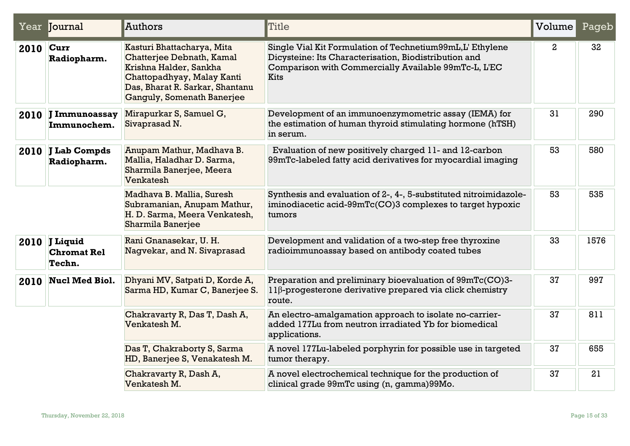|      | Year Journal                                  | Authors                                                                                                                                                                          | <b>Title</b>                                                                                                                                                                       | Volume       | Pageb |
|------|-----------------------------------------------|----------------------------------------------------------------------------------------------------------------------------------------------------------------------------------|------------------------------------------------------------------------------------------------------------------------------------------------------------------------------------|--------------|-------|
| 2010 | Curr<br>Radiopharm.                           | Kasturi Bhattacharya, Mita<br>Chatterjee Debnath, Kamal<br>Krishna Halder, Sankha<br>Chattopadhyay, Malay Kanti<br>Das, Bharat R. Sarkar, Shantanu<br>Ganguly, Somenath Banerjee | Single Vial Kit Formulation of Technetium99mL,L' Ethylene<br>Dicysteine: Its Characterisation, Biodistribution and<br>Comparison with Commercially Available 99mTc-L, L'EC<br>Kits | $\mathbf{2}$ | 32    |
| 2010 | <b>J Immunoassay</b><br>Immunochem.           | Mirapurkar S, Samuel G,<br>Sivaprasad N.                                                                                                                                         | Development of an immunoenzymometric assay (IEMA) for<br>the estimation of human thyroid stimulating hormone (hTSH)<br>in serum.                                                   | 31           | 290   |
| 2010 | J Lab Compds<br>Radiopharm.                   | Anupam Mathur, Madhava B.<br>Mallia, Haladhar D. Sarma,<br>Sharmila Banerjee, Meera<br>Venkatesh                                                                                 | Evaluation of new positively charged 11- and 12-carbon<br>99mTc-labeled fatty acid derivatives for myocardial imaging                                                              | 53           | 580   |
|      |                                               | Madhava B. Mallia, Suresh<br>Subramanian, Anupam Mathur,<br>H. D. Sarma, Meera Venkatesh,<br><b>Sharmila Banerjee</b>                                                            | Synthesis and evaluation of 2-, 4-, 5-substituted nitroimidazole-<br>iminodiacetic acid-99mTc(CO)3 complexes to target hypoxic<br>tumors                                           | 53           | 535   |
|      | 2010 J Liquid<br><b>Chromat Rel</b><br>Techn. | Rani Gnanasekar, U.H.<br>Nagvekar, and N. Sivaprasad                                                                                                                             | Development and validation of a two-step free thyroxine<br>radioimmunoassay based on antibody coated tubes                                                                         | 33           | 1576  |
| 2010 | <b>Nucl Med Biol.</b>                         | Dhyani MV, Satpati D, Korde A,<br>Sarma HD, Kumar C, Banerjee S.                                                                                                                 | Preparation and preliminary bioevaluation of 99mTc(CO)3-<br>11β-progesterone derivative prepared via click chemistry<br>route.                                                     | 37           | 997   |
|      |                                               | Chakravarty R, Das T, Dash A,<br>Venkatesh M.                                                                                                                                    | An electro-amalgamation approach to isolate no-carrier-<br>added 177Lu from neutron irradiated Yb for biomedical<br>applications.                                                  | 37           | 811   |
|      |                                               | Das T, Chakraborty S, Sarma<br>HD, Banerjee S, Venakatesh M.                                                                                                                     | A novel 177Lu-labeled porphyrin for possible use in targeted<br>tumor therapy.                                                                                                     | 37           | 655   |
|      |                                               | Chakravarty R, Dash A,<br>Venkatesh M.                                                                                                                                           | A novel electrochemical technique for the production of<br>clinical grade 99mTc using (n, gamma)99Mo.                                                                              | 37           | 21    |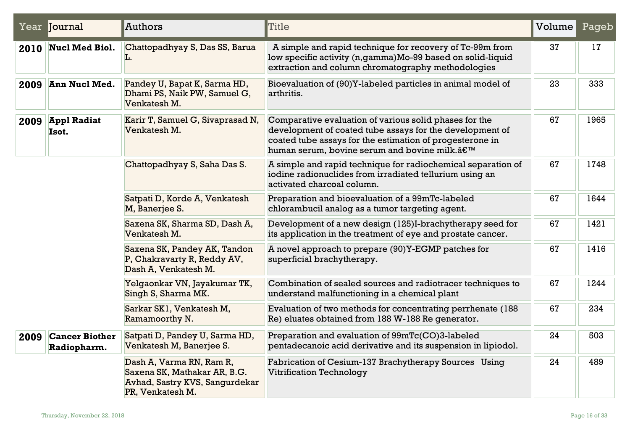|      | Year Journal                         | <b>Authors</b>                                                                                                 | Title                                                                                                                                                                                                                         | Volume | Pageb |
|------|--------------------------------------|----------------------------------------------------------------------------------------------------------------|-------------------------------------------------------------------------------------------------------------------------------------------------------------------------------------------------------------------------------|--------|-------|
|      | 2010 Nucl Med Biol.                  | Chattopadhyay S, Das SS, Barua<br>L.                                                                           | A simple and rapid technique for recovery of Tc-99m from<br>low specific activity (n,gamma)Mo-99 based on solid-liquid<br>extraction and column chromatography methodologies                                                  | 37     | 17    |
| 2009 | Ann Nucl Med.                        | Pandey U, Bapat K, Sarma HD,<br>Dhami PS, Naik PW, Samuel G,<br>Venkatesh M.                                   | Bioevaluation of (90)Y-labeled particles in animal model of<br>arthritis.                                                                                                                                                     | 23     | 333   |
| 2009 | <b>Appl Radiat</b><br>Isot.          | Karir T, Samuel G, Sivaprasad N,<br>Venkatesh M.                                                               | Comparative evaluation of various solid phases for the<br>development of coated tube assays for the development of<br>coated tube assays for the estimation of progesterone in<br>human serum, bovine serum and bovine milk.' | 67     | 1965  |
|      |                                      | Chattopadhyay S, Saha Das S.                                                                                   | A simple and rapid technique for radiochemical separation of<br>iodine radionuclides from irradiated tellurium using an<br>activated charcoal column.                                                                         | 67     | 1748  |
|      |                                      | Satpati D, Korde A, Venkatesh<br>M, Banerjee S.                                                                | Preparation and bioevaluation of a 99mTc-labeled<br>chlorambucil analog as a tumor targeting agent.                                                                                                                           | 67     | 1644  |
|      |                                      | Saxena SK, Sharma SD, Dash A,<br>Venkatesh M.                                                                  | Development of a new design (125)I-brachytherapy seed for<br>its application in the treatment of eye and prostate cancer.                                                                                                     | 67     | 1421  |
|      |                                      | Saxena SK, Pandey AK, Tandon<br>P, Chakravarty R, Reddy AV,<br>Dash A, Venkatesh M.                            | A novel approach to prepare (90)Y-EGMP patches for<br>superficial brachytherapy.                                                                                                                                              | 67     | 1416  |
|      |                                      | Yelgaonkar VN, Jayakumar TK,<br>Singh S, Sharma MK.                                                            | Combination of sealed sources and radiotracer techniques to<br>understand malfunctioning in a chemical plant                                                                                                                  | 67     | 1244  |
|      |                                      | Sarkar SK1, Venkatesh M,<br>Ramamoorthy N.                                                                     | Evaluation of two methods for concentrating perrhenate (188)<br>Re) eluates obtained from 188 W-188 Re generator.                                                                                                             | 67     | 234   |
| 2009 | <b>Cancer Biother</b><br>Radiopharm. | Satpati D, Pandey U, Sarma HD,<br>Venkatesh M, Banerjee S.                                                     | Preparation and evaluation of 99mTc(CO)3-labeled<br>pentadecanoic acid derivative and its suspension in lipiodol.                                                                                                             | 24     | 503   |
|      |                                      | Dash A, Varma RN, Ram R,<br>Saxena SK, Mathakar AR, B.G.<br>Avhad, Sastry KVS, Sangurdekar<br>PR, Venkatesh M. | Fabrication of Cesium-137 Brachytherapy Sources Using<br><b>Vitrification Technology</b>                                                                                                                                      | 24     | 489   |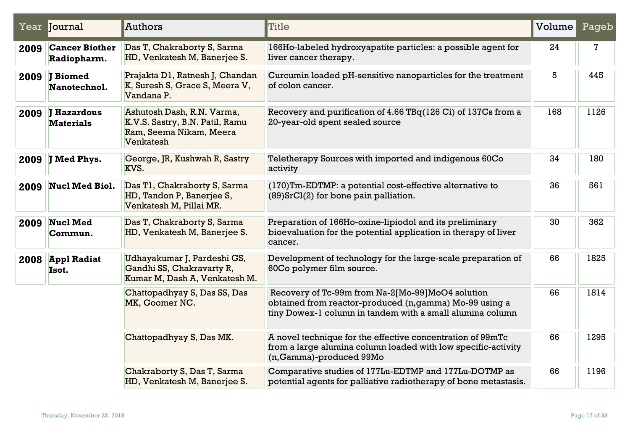|      | Year <b>Journal</b>                    | Authors                                                                                               | Title                                                                                                                                                                    | Volume | Pageb |
|------|----------------------------------------|-------------------------------------------------------------------------------------------------------|--------------------------------------------------------------------------------------------------------------------------------------------------------------------------|--------|-------|
| 2009 | <b>Cancer Biother</b><br>Radiopharm.   | Das T, Chakraborty S, Sarma<br>HD, Venkatesh M, Banerjee S.                                           | 166Ho-labeled hydroxyapatite particles: a possible agent for<br>liver cancer therapy.                                                                                    | 24     | 7     |
| 2009 | <b>J</b> Biomed<br>Nanotechnol.        | Prajakta D1, Ratnesh J, Chandan<br>K, Suresh S, Grace S, Meera V,<br>Vandana P.                       | Curcumin loaded pH-sensitive nanoparticles for the treatment<br>of colon cancer.                                                                                         | 5      | 445   |
| 2009 | <b>J</b> Hazardous<br><b>Materials</b> | Ashutosh Dash, R.N. Varma,<br>K.V.S. Sastry, B.N. Patil, Ramu<br>Ram, Seema Nikam, Meera<br>Venkatesh | Recovery and purification of 4.66 TBq(126 Ci) of 137Cs from a<br>20-year-old spent sealed source                                                                         | 168    | 1126  |
| 2009 | <b>J Med Phys.</b>                     | George, JR, Kushwah R, Sastry<br>KVS.                                                                 | Teletherapy Sources with imported and indigenous 60Co<br>activity                                                                                                        | 34     | 180   |
| 2009 | <b>Nucl Med Biol.</b>                  | Das T1, Chakraborty S, Sarma<br>HD, Tandon P, Banerjee S,<br>Venkatesh M, Pillai MR.                  | (170)Tm-EDTMP: a potential cost-effective alternative to<br>$(89)$ SrCl $(2)$ for bone pain palliation.                                                                  | 36     | 561   |
| 2009 | <b>Nucl Med</b><br>Commun.             | Das T, Chakraborty S, Sarma<br>HD, Venkatesh M, Banerjee S.                                           | Preparation of 166Ho-oxine-lipiodol and its preliminary<br>bioevaluation for the potential application in therapy of liver<br>cancer.                                    | 30     | 362   |
| 2008 | <b>Appl Radiat</b><br>Isot.            | Udhayakumar J, Pardeshi GS,<br>Gandhi SS, Chakravarty R,<br>Kumar M, Dash A, Venkatesh M.             | Development of technology for the large-scale preparation of<br>60Co polymer film source.                                                                                | 66     | 1825  |
|      |                                        | Chattopadhyay S, Das SS, Das<br>MK, Goomer NC.                                                        | Recovery of Tc-99m from Na-2[Mo-99]MoO4 solution<br>obtained from reactor-produced (n, gamma) Mo-99 using a<br>tiny Dowex-1 column in tandem with a small alumina column | 66     | 1814  |
|      |                                        | Chattopadhyay S, Das MK.                                                                              | A novel technique for the effective concentration of 99mTc<br>from a large alumina column loaded with low specific-activity<br>(n, Gamma)-produced 99Mo                  | 66     | 1295  |
|      |                                        | Chakraborty S, Das T, Sarma<br>HD, Venkatesh M, Banerjee S.                                           | Comparative studies of 177Lu-EDTMP and 177Lu-DOTMP as<br>potential agents for palliative radiotherapy of bone metastasis.                                                | 66     | 1196  |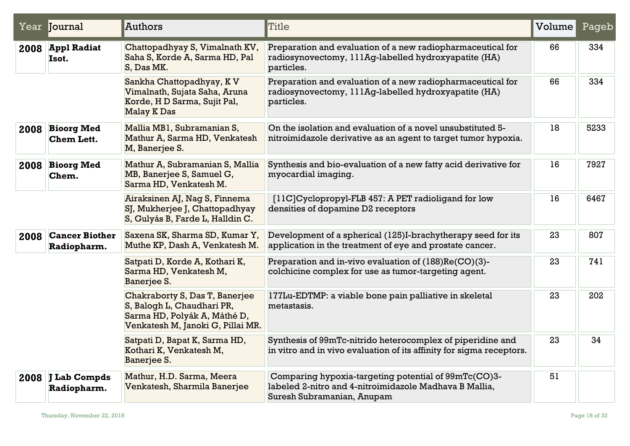|      | Year <b>Journal</b>                  | Authors                                                                                                                           | Title                                                                                                                                        | Volume | Pageb |
|------|--------------------------------------|-----------------------------------------------------------------------------------------------------------------------------------|----------------------------------------------------------------------------------------------------------------------------------------------|--------|-------|
|      | 2008 Appl Radiat<br>Isot.            | Chattopadhyay S, Vimalnath KV,<br>Saha S, Korde A, Sarma HD, Pal<br>S, Das MK.                                                    | Preparation and evaluation of a new radiopharmaceutical for<br>radiosynovectomy, 111Ag-labelled hydroxyapatite (HA)<br>particles.            | 66     | 334   |
|      |                                      | Sankha Chattopadhyay, K V<br>Vimalnath, Sujata Saha, Aruna<br>Korde, H D Sarma, Sujit Pal,<br><b>Malay K Das</b>                  | Preparation and evaluation of a new radiopharmaceutical for<br>radiosynovectomy, 111Ag-labelled hydroxyapatite (HA)<br>particles.            | 66     | 334   |
|      | 2008 Bioorg Med<br><b>Chem Lett.</b> | Mallia MB1, Subramanian S,<br>Mathur A, Sarma HD, Venkatesh<br>M, Banerjee S.                                                     | On the isolation and evaluation of a novel unsubstituted 5-<br>nitroimidazole derivative as an agent to target tumor hypoxia.                | 18     | 5233  |
|      | 2008 Bioorg Med<br>Chem.             | Mathur A, Subramanian S, Mallia<br>MB, Banerjee S, Samuel G,<br>Sarma HD, Venkatesh M.                                            | Synthesis and bio-evaluation of a new fatty acid derivative for<br>myocardial imaging.                                                       | 16     | 7927  |
|      |                                      | Airaksinen AJ, Nag S, Finnema<br>SJ, Mukherjee J, Chattopadhyay<br>S, Gulyás B, Farde L, Halldin C.                               | [11C]Cyclopropyl-FLB 457: A PET radioligand for low<br>densities of dopamine D2 receptors                                                    | 16     | 6467  |
| 2008 | <b>Cancer Biother</b><br>Radiopharm. | Saxena SK, Sharma SD, Kumar Y,<br>Muthe KP, Dash A, Venkatesh M.                                                                  | Development of a spherical (125)I-brachytherapy seed for its<br>application in the treatment of eye and prostate cancer.                     | 23     | 807   |
|      |                                      | Satpati D, Korde A, Kothari K,<br>Sarma HD, Venkatesh M,<br>Banerjee S.                                                           | Preparation and in-vivo evaluation of (188)Re(CO)(3)-<br>colchicine complex for use as tumor-targeting agent.                                | 23     | 741   |
|      |                                      | Chakraborty S, Das T, Banerjee<br>S, Balogh L, Chaudhari PR,<br>Sarma HD, Polyák A, Máthé D,<br>Venkatesh M, Janoki G, Pillai MR. | 177Lu-EDTMP: a viable bone pain palliative in skeletal<br>metastasis.                                                                        | 23     | 202   |
|      |                                      | Satpati D, Bapat K, Sarma HD,<br>Kothari K, Venkatesh M,<br>Banerjee S.                                                           | Synthesis of 99mTc-nitrido heterocomplex of piperidine and<br>in vitro and in vivo evaluation of its affinity for sigma receptors.           | 23     | 34    |
|      | 2008 J Lab Compds<br>Radiopharm.     | Mathur, H.D. Sarma, Meera<br>Venkatesh, Sharmila Banerjee                                                                         | Comparing hypoxia-targeting potential of 99mTc(CO)3-<br>labeled 2-nitro and 4-nitroimidazole Madhava B Mallia,<br>Suresh Subramanian, Anupam | 51     |       |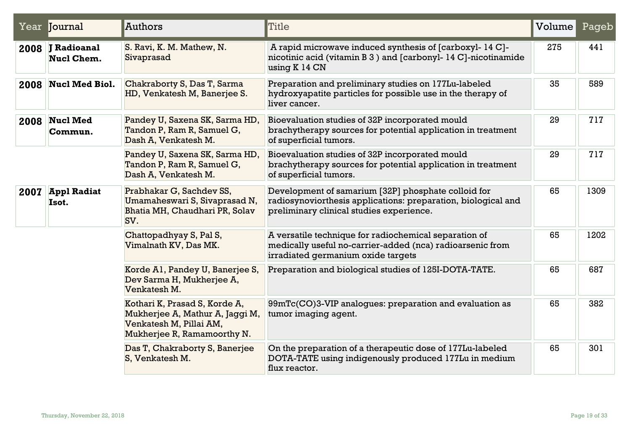|      | Year <b>Journal</b>                     | Authors                                                                                                                    | Title                                                                                                                                                            | Volume | Pageb |
|------|-----------------------------------------|----------------------------------------------------------------------------------------------------------------------------|------------------------------------------------------------------------------------------------------------------------------------------------------------------|--------|-------|
| 2008 | <b>J</b> Radioanal<br><b>Nucl Chem.</b> | S. Ravi, K. M. Mathew, N.<br>Sivaprasad                                                                                    | A rapid microwave induced synthesis of [carboxyl- 14 C]-<br>nicotinic acid (vitamin B 3) and [carbonyl- 14 C]-nicotinamide<br>using $K$ 14 $CN$                  | 275    | 441   |
| 2008 | <b>Nucl Med Biol.</b>                   | Chakraborty S, Das T, Sarma<br>HD, Venkatesh M, Banerjee S.                                                                | Preparation and preliminary studies on 177Lu-labeled<br>hydroxyapatite particles for possible use in the therapy of<br>liver cancer.                             | 35     | 589   |
| 2008 | <b>Nucl Med</b><br>Commun.              | Pandey U, Saxena SK, Sarma HD,<br>Tandon P, Ram R, Samuel G,<br>Dash A, Venkatesh M.                                       | Bioevaluation studies of 32P incorporated mould<br>brachytherapy sources for potential application in treatment<br>of superficial tumors.                        | 29     | 717   |
|      |                                         | Pandey U, Saxena SK, Sarma HD,<br>Tandon P, Ram R, Samuel G,<br>Dash A, Venkatesh M.                                       | Bioevaluation studies of 32P incorporated mould<br>brachytherapy sources for potential application in treatment<br>of superficial tumors.                        | 29     | 717   |
| 2007 | <b>Appl Radiat</b><br>Isot.             | Prabhakar G, Sachdev SS,<br>Umamaheswari S, Sivaprasad N,<br>Bhatia MH, Chaudhari PR, Solav<br>SV.                         | Development of samarium [32P] phosphate colloid for<br>radiosynoviorthesis applications: preparation, biological and<br>preliminary clinical studies experience. | 65     | 1309  |
|      |                                         | Chattopadhyay S, Pal S,<br>Vimalnath KV, Das MK.                                                                           | A versatile technique for radiochemical separation of<br>medically useful no-carrier-added (nca) radioarsenic from<br>irradiated germanium oxide targets         | 65     | 1202  |
|      |                                         | Korde Al, Pandey U, Banerjee S,<br>Dev Sarma H, Mukherjee A,<br>Venkatesh M.                                               | Preparation and biological studies of 125I-DOTA-TATE.                                                                                                            | 65     | 687   |
|      |                                         | Kothari K, Prasad S, Korde A,<br>Mukherjee A, Mathur A, Jaggi M,<br>Venkatesh M, Pillai AM,<br>Mukherjee R, Ramamoorthy N. | 99mTc(CO)3-VIP analogues: preparation and evaluation as<br>tumor imaging agent.                                                                                  | 65     | 382   |
|      |                                         | Das T, Chakraborty S, Banerjee<br>S, Venkatesh M.                                                                          | On the preparation of a therapeutic dose of 177Lu-labeled<br>DOTA-TATE using indigenously produced 177Lu in medium<br>flux reactor.                              | 65     | 301   |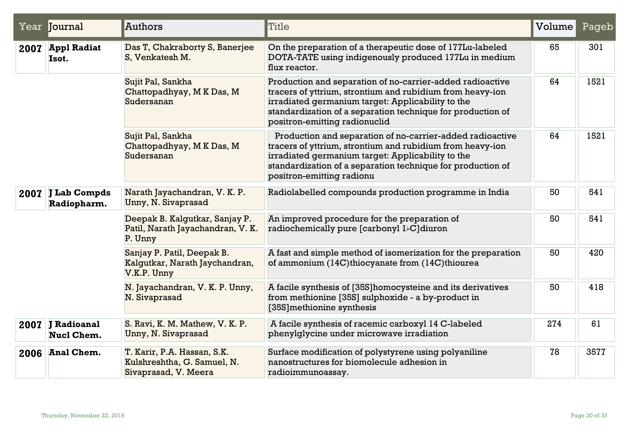|      | Year Journal                          | Authors                                                                            | Title                                                                                                                                                                                                                                                                       | Volume | Pageb |
|------|---------------------------------------|------------------------------------------------------------------------------------|-----------------------------------------------------------------------------------------------------------------------------------------------------------------------------------------------------------------------------------------------------------------------------|--------|-------|
| 2007 | <b>Appl Radiat</b><br>Isot.           | Das T, Chakraborty S, Banerjee<br>S, Venkatesh M.                                  | On the preparation of a therapeutic dose of 177Lu-labeled<br>DOTA-TATE using indigenously produced 177Lu in medium<br>flux reactor.                                                                                                                                         | 65     | 301   |
|      |                                       | Sujit Pal, Sankha<br>Chattopadhyay, MK Das, M<br>Sudersanan                        | Production and separation of no-carrier-added radioactive<br>tracers of yttrium, strontium and rubidium from heavy-ion<br>irradiated germanium target: Applicability to the<br>standardization of a separation technique for production of<br>positron-emitting radionuclid | 64     | 1521  |
|      |                                       | Sujit Pal, Sankha<br>Chattopadhyay, MK Das, M<br>Sudersanan                        | Production and separation of no-carrier-added radioactive<br>tracers of yttrium, strontium and rubidium from heavy-ion<br>irradiated germanium target: Applicability to the<br>standardization of a separation technique for production of<br>positron-emitting radionu     | 64     | 1521  |
| 2007 | J Lab Compds<br>Radiopharm.           | Narath Jayachandran, V. K. P.<br>Unny, N. Sivaprasad                               | Radiolabelled compounds production programme in India                                                                                                                                                                                                                       | 50     | 541   |
|      |                                       | Deepak B. Kalgutkar, Sanjay P.<br>Patil, Narath Jayachandran, V. K.<br>P. Unny     | An improved procedure for the preparation of<br>radiochemically pure [carbonyl 4-C]diuron                                                                                                                                                                                   | 50     | 541   |
|      |                                       | Sanjay P. Patil, Deepak B.<br>Kalgutkar, Narath Jaychandran,<br>V.K.P. Unny        | A fast and simple method of isomerization for the preparation<br>of ammonium (14C)thiocyanate from (14C)thiourea                                                                                                                                                            | 50     | 420   |
|      |                                       | N. Jayachandran, V. K. P. Unny,<br>N. Sivaprasad                                   | A facile synthesis of [35S] homocysteine and its derivatives<br>from methionine [35S] sulphoxide - a by-product in<br>[35S] methionine synthesis                                                                                                                            | 50     | 418   |
|      | 2007 J Radioanal<br><b>Nucl Chem.</b> | S. Ravi, K. M. Mathew, V. K. P.<br>Unny, N. Sivaprasad                             | A facile synthesis of racemic carboxyl 14 C-labeled<br>phenylglycine under microwave irradiation                                                                                                                                                                            | 274    | 61    |
| 2006 | <b>Anal Chem.</b>                     | T. Karir, P.A. Hassan, S.K.<br>Kulshreshtha, G. Samuel, N.<br>Sivaprasad, V. Meera | Surface modification of polystyrene using polyaniline<br>nanostructures for biomolecule adhesion in<br>radioimmunoassay.                                                                                                                                                    | 78     | 3577  |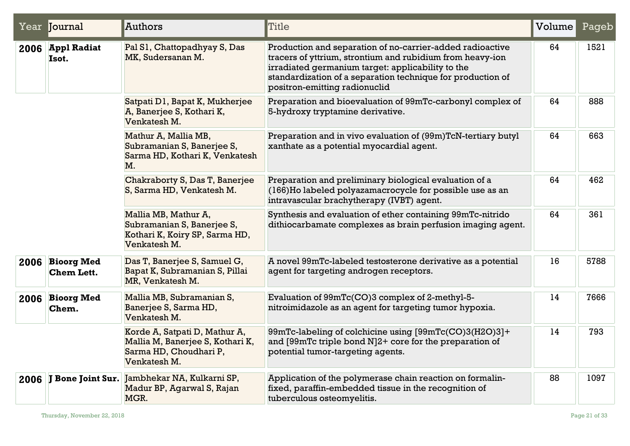|      | Year Journal                         | Authors                                                                                                     | <b>Title</b>                                                                                                                                                                                                                                                                | Volume | Pageb |
|------|--------------------------------------|-------------------------------------------------------------------------------------------------------------|-----------------------------------------------------------------------------------------------------------------------------------------------------------------------------------------------------------------------------------------------------------------------------|--------|-------|
|      | 2006 Appl Radiat<br>Isot.            | Pal S1, Chattopadhyay S, Das<br>MK, Sudersanan M.                                                           | Production and separation of no-carrier-added radioactive<br>tracers of yttrium, strontium and rubidium from heavy-ion<br>irradiated germanium target: applicability to the<br>standardization of a separation technique for production of<br>positron-emitting radionuclid | 64     | 1521  |
|      |                                      | Satpati D1, Bapat K, Mukherjee<br>A, Banerjee S, Kothari K,<br>Venkatesh M.                                 | Preparation and bioevaluation of 99mTc-carbonyl complex of<br>5-hydroxy tryptamine derivative.                                                                                                                                                                              | 64     | 888   |
|      |                                      | Mathur A, Mallia MB,<br>Subramanian S, Banerjee S,<br>Sarma HD, Kothari K, Venkatesh<br>M.                  | Preparation and in vivo evaluation of (99m)TcN-tertiary butyl<br>xanthate as a potential myocardial agent.                                                                                                                                                                  | 64     | 663   |
|      |                                      | Chakraborty S, Das T, Banerjee<br>S, Sarma HD, Venkatesh M.                                                 | Preparation and preliminary biological evaluation of a<br>(166)Ho labeled polyazamacrocycle for possible use as an<br>intravascular brachytherapy (IVBT) agent.                                                                                                             | 64     | 462   |
|      |                                      | Mallia MB, Mathur A,<br>Subramanian S, Banerjee S,<br>Kothari K, Koiry SP, Sarma HD,<br>Venkatesh M.        | Synthesis and evaluation of ether containing 99mTc-nitrido<br>dithiocarbamate complexes as brain perfusion imaging agent.                                                                                                                                                   | 64     | 361   |
|      | 2006 Bioorg Med<br><b>Chem Lett.</b> | Das T, Banerjee S, Samuel G,<br>Bapat K, Subramanian S, Pillai<br>MR, Venkatesh M.                          | A novel 99mTc-labeled testosterone derivative as a potential<br>agent for targeting androgen receptors.                                                                                                                                                                     | 16     | 5788  |
| 2006 | <b>Bioorg Med</b><br>Chem.           | Mallia MB, Subramanian S,<br>Banerjee S, Sarma HD,<br>Venkatesh M.                                          | Evaluation of 99mTc(CO)3 complex of 2-methyl-5-<br>nitroimidazole as an agent for targeting tumor hypoxia.                                                                                                                                                                  | 14     | 7666  |
|      |                                      | Korde A, Satpati D, Mathur A,<br>Mallia M, Banerjee S, Kothari K,<br>Sarma HD, Choudhari P,<br>Venkatesh M. | 99mTc-labeling of colchicine using [99mTc(CO)3(H2O)3]+<br>and [99mTc triple bond N]2+ core for the preparation of<br>potential tumor-targeting agents.                                                                                                                      | 14     | 793   |
|      | 2006 J Bone Joint Sur.               | Jambhekar NA, Kulkarni SP,<br>Madur BP, Agarwal S, Rajan<br>MGR.                                            | Application of the polymerase chain reaction on formalin-<br>fixed, paraffin-embedded tissue in the recognition of<br>tuberculous osteomyelitis.                                                                                                                            | 88     | 1097  |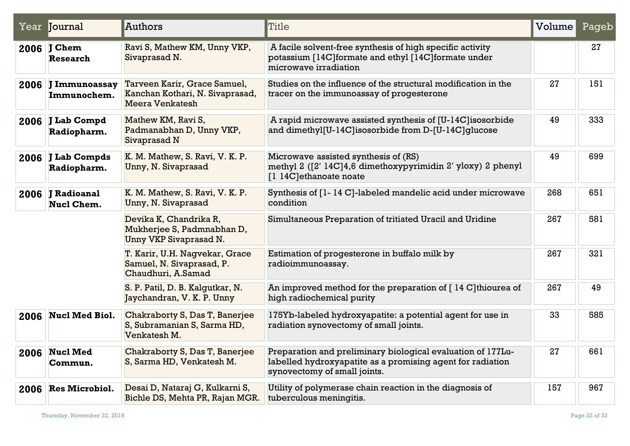| Year Journal                          | Authors                                                                                   | Title                                                                                                                                                     | Volume | Pageb |
|---------------------------------------|-------------------------------------------------------------------------------------------|-----------------------------------------------------------------------------------------------------------------------------------------------------------|--------|-------|
| 2006 J Chem<br><b>Research</b>        | Ravi S, Mathew KM, Unny VKP,<br>Sivaprasad N.                                             | A facile solvent-free synthesis of high specific activity<br>potassium [14C] formate and ethyl [14C] formate under<br>microwave irradiation               |        | 27    |
| 2006 J Immunoassay<br>Immunochem.     | Tarveen Karir, Grace Samuel,<br>Kanchan Kothari, N. Sivaprasad,<br><b>Meera Venkatesh</b> | Studies on the influence of the structural modification in the<br>tracer on the immunoassay of progesterone                                               | 27     | 151   |
| 2006 J Lab Compd<br>Radiopharm.       | Mathew KM, Ravi S,<br>Padmanabhan D, Unny VKP,<br>Sivaprasad N                            | A rapid microwave assisted synthesis of [U-14C] isosorbide<br>and dimethyl[U-14C]isosorbide from D-[U-14C]glucose                                         | 49     | 333   |
| 2006 J Lab Compds<br>Radiopharm.      | K. M. Mathew, S. Ravi, V. K. P.<br>Unny, N. Sivaprasad                                    | Microwave assisted synthesis of (RS)<br>methyl 2 ([2' 14C]4,6 dimethoxypyrimidin 2' yloxy) 2 phenyl<br>[1 14C]ethanoate noate                             | 49     | 699   |
| 2006 J Radioanal<br><b>Nucl Chem.</b> | K. M. Mathew, S. Ravi, V. K. P.<br>Unny, N. Sivaprasad                                    | Synthesis of [1-14 C]-labeled mandelic acid under microwave<br>condition                                                                                  | 268    | 651   |
|                                       | Devika K, Chandrika R,<br>Mukherjee S, Padmnabhan D,<br>Unny VKP Sivaprasad N.            | Simultaneous Preparation of tritiated Uracil and Uridine                                                                                                  | 267    | 581   |
|                                       | T. Karir, U.H. Nagvekar, Grace<br>Samuel, N. Sivaprasad, P.<br>Chaudhuri, A.Samad         | Estimation of progesterone in buffalo milk by<br>radioimmunoassay.                                                                                        | 267    | 321   |
|                                       | S. P. Patil, D. B. Kalqutkar, N.<br>Jaychandran, V. K. P. Unny                            | An improved method for the preparation of [14 C] thiourea of<br>high radiochemical purity                                                                 | 267    | 49    |
| 2006 Nucl Med Biol.                   | Chakraborty S, Das T, Banerjee<br>S, Subramanian S, Sarma HD,<br>Venkatesh M.             | 175Yb-labeled hydroxyapatite: a potential agent for use in<br>radiation synovectomy of small joints.                                                      | 33     | 585   |
| 2006 Nucl Med<br>Commun.              | Chakraborty S, Das T, Banerjee<br>S, Sarma HD, Venkatesh M.                               | Preparation and preliminary biological evaluation of 177Lu-<br>labelled hydroxyapatite as a promising agent for radiation<br>synovectomy of small joints. | 27     | 661   |
| 2006 Res Microbiol.                   | Desai D, Nataraj G, Kulkarni S,<br>Bichle DS, Mehta PR, Rajan MGR.                        | Utility of polymerase chain reaction in the diagnosis of<br>tuberculous meningitis.                                                                       | 157    | 967   |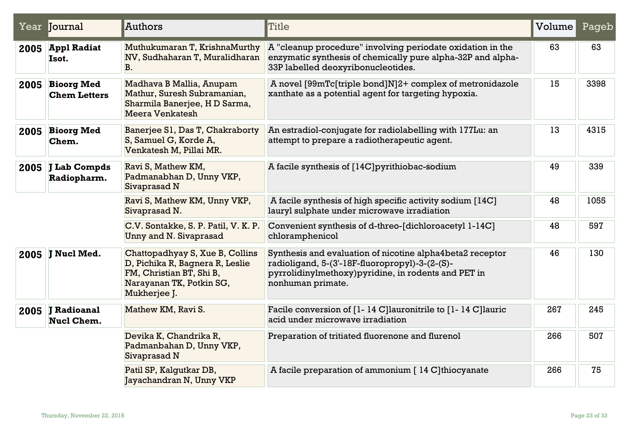|      | Year Journal                           | Authors                                                                                                                                    | Title                                                                                                                                                                                    | Volume | Pageb |
|------|----------------------------------------|--------------------------------------------------------------------------------------------------------------------------------------------|------------------------------------------------------------------------------------------------------------------------------------------------------------------------------------------|--------|-------|
|      | 2005 Appl Radiat<br>Isot.              | Muthukumaran T, KrishnaMurthy<br>NV, Sudhaharan T, Muralidharan<br><b>B</b> .                                                              | A "cleanup procedure" involving periodate oxidation in the<br>enzymatic synthesis of chemically pure alpha-32P and alpha-<br>33P labelled deoxyribonucleotides.                          | 63     | 63    |
|      | 2005 Bioorg Med<br><b>Chem Letters</b> | Madhava B Mallia, Anupam<br>Mathur, Suresh Subramanian,<br>Sharmila Banerjee, H D Sarma,<br>Meera Venkatesh                                | A novel [99mTc[triple bond]N]2+ complex of metronidazole<br>xanthate as a potential agent for targeting hypoxia.                                                                         | 15     | 3398  |
| 2005 | <b>Bioorg Med</b><br>Chem.             | Banerjee S1, Das T, Chakraborty<br>S, Samuel G, Korde A,<br>Venkatesh M, Pillai MR.                                                        | An estradiol-conjugate for radiolabelling with 177Lu: an<br>attempt to prepare a radiotherapeutic agent.                                                                                 | 13     | 4315  |
| 2005 | J Lab Compds<br>Radiopharm.            | Ravi S, Mathew KM,<br>Padmanabhan D, Unny VKP,<br>Sivaprasad N                                                                             | A facile synthesis of [14C] pyrithiobac-sodium                                                                                                                                           | 49     | 339   |
|      |                                        | Ravi S, Mathew KM, Unny VKP,<br>Sivaprasad N.                                                                                              | A facile synthesis of high specific activity sodium [14C]<br>lauryl sulphate under microwave irradiation                                                                                 | 48     | 1055  |
|      |                                        | C.V. Sontakke, S. P. Patil, V. K. P.<br>Unny and N. Sivaprasad                                                                             | Convenient synthesis of d-threo-[dichloroacetyl 1-14C]<br>chloramphenicol                                                                                                                | 48     | 597   |
|      | 2005 J Nucl Med.                       | Chattopadhyay S, Xue B, Collins<br>D, Pichika R, Bagnera R, Leslie<br>FM, Christian BT, Shi B,<br>Narayanan TK, Potkin SG,<br>Mukherjee J. | Synthesis and evaluation of nicotine alpha4beta2 receptor<br>radioligand, 5-(3'-18F-fluoropropyl)-3-(2-(S)-<br>pyrrolidinylmethoxy) pyridine, in rodents and PET in<br>nonhuman primate. | 46     | 130   |
|      | 2005 J Radioanal<br><b>Nucl Chem.</b>  | Mathew KM, Ravi S.                                                                                                                         | Facile conversion of [1-14 C]lauronitrile to [1-14 C]lauric<br>acid under microwave irradiation                                                                                          | 267    | 245   |
|      |                                        | Devika K, Chandrika R,<br>Padmanbahan D, Unny VKP,<br>Sivaprasad N                                                                         | Preparation of tritiated fluorenone and flurenol                                                                                                                                         | 266    | 507   |
|      |                                        | Patil SP, Kalgutkar DB,<br>Jayachandran N, Unny VKP                                                                                        | A facile preparation of ammonium [14 C] thiocyanate                                                                                                                                      | 266    | 75    |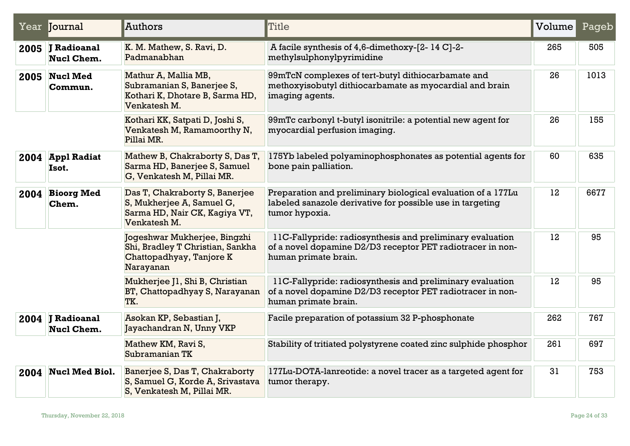| Year Journal                          | Authors                                                                                                      | Title                                                                                                                                           | Volume | Pageb |
|---------------------------------------|--------------------------------------------------------------------------------------------------------------|-------------------------------------------------------------------------------------------------------------------------------------------------|--------|-------|
| 2005 J Radioanal<br>Nucl Chem.        | K. M. Mathew, S. Ravi, D.<br>Padmanabhan                                                                     | A facile synthesis of 4,6-dimethoxy-[2-14 C]-2-<br>methylsulphonylpyrimidine                                                                    | 265    | 505   |
| $2005$ Nucl Med<br>Commun.            | Mathur A, Mallia MB,<br>Subramanian S, Banerjee S,<br>Kothari K, Dhotare B, Sarma HD,<br>Venkatesh M.        | 99mTcN complexes of tert-butyl dithiocarbamate and<br>methoxyisobutyl dithiocarbamate as myocardial and brain<br>imaging agents.                | 26     | 1013  |
|                                       | Kothari KK, Satpati D, Joshi S,<br>Venkatesh M, Ramamoorthy N,<br>Pillai MR.                                 | 99mTc carbonyl t-butyl isonitrile: a potential new agent for<br>myocardial perfusion imaging.                                                   | 26     | 155   |
| 2004 Appl Radiat<br>Isot.             | Mathew B, Chakraborty S, Das T,<br>Sarma HD, Banerjee S, Samuel<br>G, Venkatesh M, Pillai MR.                | 175Yb labeled polyaminophosphonates as potential agents for<br>bone pain palliation.                                                            | 60     | 635   |
| 2004 Bioorg Med<br>Chem.              | Das T, Chakraborty S, Banerjee<br>S, Mukherjee A, Samuel G,<br>Sarma HD, Nair CK, Kagiya VT,<br>Venkatesh M. | Preparation and preliminary biological evaluation of a 177Lu<br>labeled sanazole derivative for possible use in targeting<br>tumor hypoxia.     | 12     | 6677  |
|                                       | Jogeshwar Mukherjee, Bingzhi<br>Shi, Bradley T Christian, Sankha<br>Chattopadhyay, Tanjore K<br>Narayanan    | 11C-Fallypride: radiosynthesis and preliminary evaluation<br>of a novel dopamine D2/D3 receptor PET radiotracer in non-<br>human primate brain. | 12     | 95    |
|                                       | Mukherjee J1, Shi B, Christian<br>BT, Chattopadhyay S, Narayanan<br>TK.                                      | 11C-Fallypride: radiosynthesis and preliminary evaluation<br>of a novel dopamine D2/D3 receptor PET radiotracer in non-<br>human primate brain. | 12     | 95    |
| 2004 J Radioanal<br><b>Nucl Chem.</b> | Asokan KP, Sebastian J,<br>Jayachandran N, Unny VKP                                                          | Facile preparation of potassium 32 P-phosphonate                                                                                                | 262    | 767   |
|                                       | Mathew KM, Ravi S,<br>Subramanian TK                                                                         | Stability of tritiated polystyrene coated zinc sulphide phosphor                                                                                | 261    | 697   |
| 2004 Nucl Med Biol.                   | Banerjee S, Das T, Chakraborty<br>S, Samuel G, Korde A, Srivastava<br>S, Venkatesh M, Pillai MR.             | 177Lu-DOTA-lanreotide: a novel tracer as a targeted agent for<br>tumor therapy.                                                                 | 31     | 753   |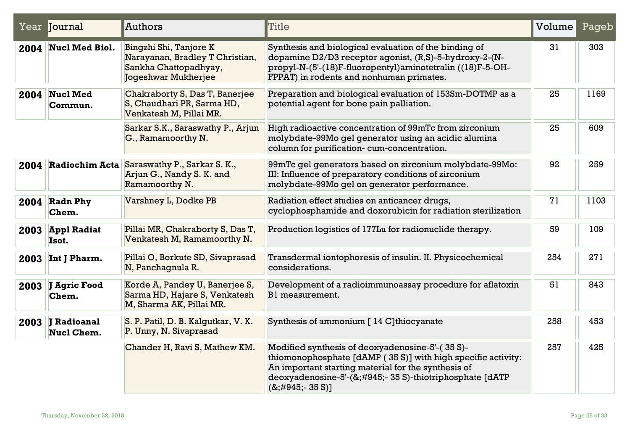|      | Year Journal                          | Authors                                                                                                   | Title                                                                                                                                                                                                                                                    | Volume | Pageb |
|------|---------------------------------------|-----------------------------------------------------------------------------------------------------------|----------------------------------------------------------------------------------------------------------------------------------------------------------------------------------------------------------------------------------------------------------|--------|-------|
|      | 2004 Nucl Med Biol.                   | Bingzhi Shi, Tanjore K<br>Narayanan, Bradley T Christian,<br>Sankha Chattopadhyay,<br>Jogeshwar Mukherjee | Synthesis and biological evaluation of the binding of<br>dopamine D2/D3 receptor agonist, (R,S)-5-hydroxy-2-(N-<br>propyl-N-(5'-(18)F-fluoropentyl)aminotetralin ((18)F-5-OH-<br>FPPAT) in rodents and nonhuman primates.                                | 31     | 303   |
|      | 2004 Nucl Med<br>Commun.              | Chakraborty S, Das T, Banerjee<br>S, Chaudhari PR, Sarma HD,<br>Venkatesh M, Pillai MR.                   | Preparation and biological evaluation of 153Sm-DOTMP as a<br>potential agent for bone pain palliation.                                                                                                                                                   | 25     | 1169  |
|      |                                       | Sarkar S.K., Saraswathy P., Arjun<br>G., Ramamoorthy N.                                                   | High radioactive concentration of 99mTc from zirconium<br>molybdate-99Mo gel generator using an acidic alumina<br>column for purification-cum-concentration.                                                                                             | 25     | 609   |
|      | 2004 Radiochim Acta                   | Saraswathy P., Sarkar S. K.,<br>Arjun G., Nandy S. K. and<br>Ramamoorthy N.                               | 99mTc gel generators based on zirconium molybdate-99Mo:<br>III: Influence of preparatory conditions of zirconium<br>molybdate-99Mo gel on generator performance.                                                                                         | 92     | 259   |
|      | $2004$ Radn Phy<br>Chem.              | Varshney L, Dodke PB                                                                                      | Radiation effect studies on anticancer drugs,<br>cyclophosphamide and doxorubicin for radiation sterilization                                                                                                                                            | 71     | 1103  |
|      | 2003 Appl Radiat<br>Isot.             | Pillai MR, Chakraborty S, Das T,<br>Venkatesh M, Ramamoorthy N.                                           | Production logistics of 177Lu for radionuclide therapy.                                                                                                                                                                                                  | 59     | 109   |
| 2003 | Int J Pharm.                          | Pillai O, Borkute SD, Sivaprasad<br>N, Panchagnula R.                                                     | Transdermal iontophoresis of insulin. II. Physicochemical<br>considerations.                                                                                                                                                                             | 254    | 271   |
|      | 2003 J Agric Food<br>Chem.            | Korde A, Pandey U, Banerjee S,<br>Sarma HD, Hajare S, Venkatesh<br>M, Sharma AK, Pillai MR.               | Development of a radioimmunoassay procedure for aflatoxin<br>B1 measurement.                                                                                                                                                                             | 51     | 843   |
|      | 2003 J Radioanal<br><b>Nucl Chem.</b> | S. P. Patil, D. B. Kalqutkar, V. K.<br>P. Unny, N. Sivaprasad                                             | Synthesis of ammonium [14 C]thiocyanate                                                                                                                                                                                                                  | 258    | 453   |
|      |                                       | Chander H, Ravi S, Mathew KM.                                                                             | Modified synthesis of deoxyadenosine-5'-(35 S)-<br>thiomonophosphate [dAMP (35 S)] with high specific activity:<br>An important starting material for the synthesis of<br>deoxyadenosine-5'-(&;#945;-35 S)-thiotriphosphate [dATP<br>$(8, \#945, -35 S)$ | 257    | 425   |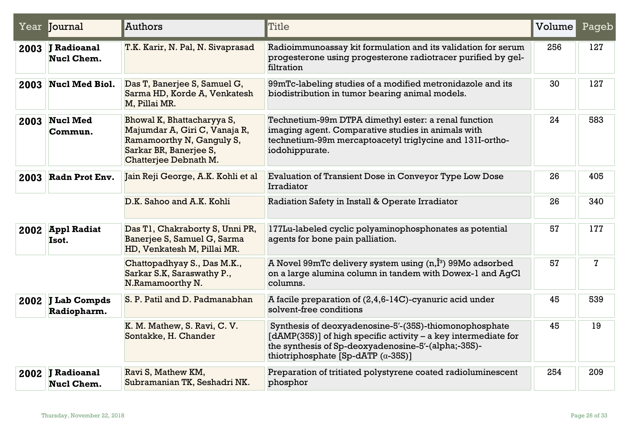|      | Year Journal                          | Authors                                                                                                                                     | Title                                                                                                                                                                                                                         | Volume | Pageb       |
|------|---------------------------------------|---------------------------------------------------------------------------------------------------------------------------------------------|-------------------------------------------------------------------------------------------------------------------------------------------------------------------------------------------------------------------------------|--------|-------------|
|      | 2003 J Radioanal<br><b>Nucl Chem.</b> | T.K. Karir, N. Pal, N. Sivaprasad                                                                                                           | Radioimmunoassay kit formulation and its validation for serum<br>progesterone using progesterone radiotracer purified by gel-<br>filtration                                                                                   | 256    | 127         |
|      | 2003 Nucl Med Biol.                   | Das T, Banerjee S, Samuel G,<br>Sarma HD, Korde A, Venkatesh<br>M, Pillai MR.                                                               | 99mTc-labeling studies of a modified metronidazole and its<br>biodistribution in tumor bearing animal models.                                                                                                                 | 30     | 127         |
| 2003 | <b>Nucl Med</b><br>Commun.            | Bhowal K, Bhattacharyya S,<br>Majumdar A, Giri C, Vanaja R,<br>Ramamoorthy N, Ganguly S,<br>Sarkar BR, Banerjee S,<br>Chatterjee Debnath M. | Technetium-99m DTPA dimethyl ester: a renal function<br>imaging agent. Comparative studies in animals with<br>technetium-99m mercaptoacetyl triglycine and 131I-ortho-<br>iodohippurate.                                      | 24     | 583         |
| 2003 | Radn Prot Env.                        | Jain Reji George, A.K. Kohli et al                                                                                                          | Evaluation of Transient Dose in Conveyor Type Low Dose<br>Irradiator                                                                                                                                                          | 26     | 405         |
|      |                                       | D.K. Sahoo and A.K. Kohli                                                                                                                   | Radiation Safety in Install & Operate Irradiator                                                                                                                                                                              | 26     | 340         |
|      | 2002 Appl Radiat<br>Isot.             | Das T1, Chakraborty S, Unni PR,<br>Banerjee S, Samuel G, Sarma<br>HD, Venkatesh M, Pillai MR.                                               | 177Lu-labeled cyclic polyaminophosphonates as potential<br>agents for bone pain palliation.                                                                                                                                   | 57     | 177         |
|      |                                       | Chattopadhyay S., Das M.K.,<br>Sarkar S.K, Saraswathy P.,<br>N.Ramamoorthy N.                                                               | A Novel 99mTc delivery system using $(n, \hat{I}^3)$ 99Mo adsorbed<br>on a large alumina column in tandem with Dowex-1 and AgCl<br>columns.                                                                                   | 57     | $\mathbf 7$ |
|      | 2002 J Lab Compds<br>Radiopharm.      | S. P. Patil and D. Padmanabhan                                                                                                              | A facile preparation of $(2,4,6-14C)$ -cyanuric acid under<br>solvent-free conditions                                                                                                                                         | 45     | 539         |
|      |                                       | K. M. Mathew, S. Ravi, C. V.<br>Sontakke, H. Chander                                                                                        | Synthesis of deoxyadenosine-5'-(35S)-thiomonophosphate<br>[dAMP(35S)] of high specific activity – a key intermediate for<br>the synthesis of Sp-deoxyadenosine-5'-(alpha;-35S)-<br>thiotriphosphate [Sp-dATP $(\alpha$ -35S)] | 45     | 19          |
|      | 2002 J Radioanal<br>Nucl Chem.        | Ravi S, Mathew KM,<br>Subramanian TK, Seshadri NK.                                                                                          | Preparation of tritiated polystyrene coated radioluminescent<br>phosphor                                                                                                                                                      | 254    | 209         |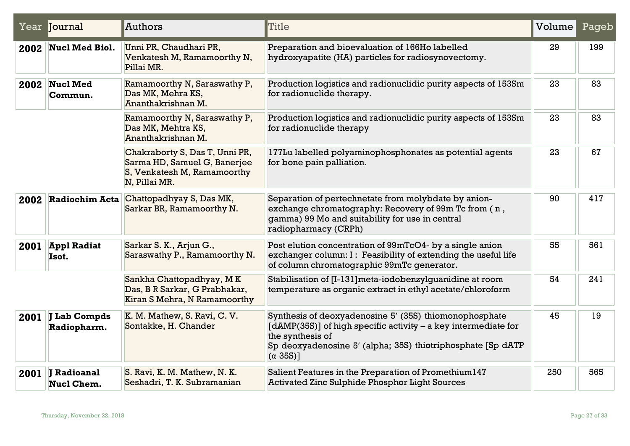|      | Year <b>Journal</b>              | Authors                                                                                                        | <b>Title</b>                                                                                                                                                                                                                     | Volume | Pageb |
|------|----------------------------------|----------------------------------------------------------------------------------------------------------------|----------------------------------------------------------------------------------------------------------------------------------------------------------------------------------------------------------------------------------|--------|-------|
|      | 2002 Nucl Med Biol.              | Unni PR, Chaudhari PR,<br>Venkatesh M, Ramamoorthy N,<br>Pillai MR.                                            | Preparation and bioevaluation of 166Ho labelled<br>hydroxyapatite (HA) particles for radiosynovectomy.                                                                                                                           | 29     | 199   |
|      | 2002 Nucl Med<br>Commun.         | Ramamoorthy N, Saraswathy P,<br>Das MK, Mehra KS,<br>Ananthakrishnan M.                                        | Production logistics and radionuclidic purity aspects of 153Sm<br>for radionuclide therapy.                                                                                                                                      | 23     | 83    |
|      |                                  | Ramamoorthy N, Saraswathy P,<br>Das MK, Mehtra KS,<br>Ananthakrishnan M.                                       | Production logistics and radionuclidic purity aspects of 153Sm<br>for radionuclide therapy                                                                                                                                       | 23     | 83    |
|      |                                  | Chakraborty S, Das T, Unni PR,<br>Sarma HD, Samuel G, Banerjee<br>S, Venkatesh M, Ramamoorthy<br>N, Pillai MR. | 177Lu labelled polyaminophosphonates as potential agents<br>for bone pain palliation.                                                                                                                                            | 23     | 67    |
| 2002 | <b>Radiochim Acta</b>            | Chattopadhyay S, Das MK,<br>Sarkar BR, Ramamoorthy N.                                                          | Separation of pertechnetate from molybdate by anion-<br>exchange chromatography: Recovery of 99m Tc from (n,<br>gamma) 99 Mo and suitability for use in central<br>radiopharmacy (CRPh)                                          | 90     | 417   |
| 2001 | <b>Appl Radiat</b><br>Isot.      | Sarkar S. K., Arjun G.,<br>Saraswathy P., Ramamoorthy N.                                                       | Post elution concentration of 99mTcO4- by a single anion<br>exchanger column: I: Feasibility of extending the useful life<br>of column chromatographic 99mTc generator.                                                          | 55     | 561   |
|      |                                  | Sankha Chattopadhyay, MK<br>Das, B R Sarkar, G Prabhakar,<br>Kiran S Mehra, N Ramamoorthy                      | Stabilisation of [I-131] meta-iodobenzylguanidine at room<br>temperature as organic extract in ethyl acetate/chloroform                                                                                                          | 54     | 241   |
|      | 2001 J Lab Compds<br>Radiopharm. | K. M. Mathew, S. Ravi, C. V.<br>Sontakke, H. Chander                                                           | Synthesis of deoxyadenosine 5' (35S) thiomonophosphate<br>$[dAMP(35S)]$ of high specific activity – a key intermediate for<br>the synthesis of<br>Sp deoxyadenosine 5' (alpha; 35S) thiotriphosphate [Sp dATP<br>$(\alpha$ 35S)] | 45     | 19    |
| 2001 | <b>J</b> Radioanal<br>Nucl Chem. | S. Ravi, K. M. Mathew, N. K.<br>Seshadri, T. K. Subramanian                                                    | Salient Features in the Preparation of Promethium147<br><b>Activated Zinc Sulphide Phosphor Light Sources</b>                                                                                                                    | 250    | 565   |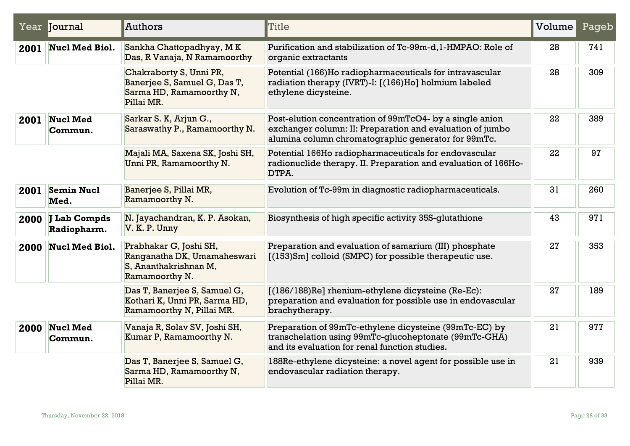|      | Year Journal                       | Authors                                                                                           | Title                                                                                                                                                                        | Volume | Pageb |
|------|------------------------------------|---------------------------------------------------------------------------------------------------|------------------------------------------------------------------------------------------------------------------------------------------------------------------------------|--------|-------|
| 2001 | <b>Nucl Med Biol.</b>              | Sankha Chattopadhyay, MK<br>Das, R Vanaja, N Ramamoorthy                                          | Purification and stabilization of Tc-99m-d, 1-HMPAO: Role of<br>organic extractants                                                                                          | 28     | 741   |
|      |                                    | Chakraborty S, Unni PR,<br>Banerjee S, Samuel G, Das T,<br>Sarma HD, Ramamoorthy N,<br>Pillai MR. | Potential (166)Ho radiopharmaceuticals for intravascular<br>radiation therapy (IVRT)-I: [(166)Ho] holmium labeled<br>ethylene dicysteine.                                    | 28     | 309   |
| 2001 | <b>Nucl Med</b><br>Commun.         | Sarkar S. K, Arjun G.,<br>Saraswathy P., Ramamoorthy N.                                           | Post-elution concentration of 99mTcO4- by a single anion<br>exchanger column: II: Preparation and evaluation of jumbo<br>alumina column chromatographic generator for 99mTc. | 22     | 389   |
|      |                                    | Majali MA, Saxena SK, Joshi SH,<br>Unni PR, Ramamoorthy N.                                        | Potential 166Ho radiopharmaceuticals for endovascular<br>radionuclide therapy. II. Preparation and evaluation of 166Ho-<br>DTPA.                                             | 22     | 97    |
| 2001 | <b>Semin Nucl</b><br>Med.          | Banerjee S, Pillai MR,<br>Ramamoorthy N.                                                          | Evolution of Tc-99m in diagnostic radiopharmaceuticals.                                                                                                                      | 31     | 260   |
| 2000 | <b>J Lab Compds</b><br>Radiopharm. | N. Jayachandran, K. P. Asokan,<br>V. K. P. Unny                                                   | Biosynthesis of high specific activity 35S-glutathione                                                                                                                       | 43     | 971   |
| 2000 | <b>Nucl Med Biol.</b>              | Prabhakar G, Joshi SH,<br>Ranganatha DK, Umamaheswari<br>S, Ananthakrishnan M,<br>Ramamoorthy N.  | Preparation and evaluation of samarium (III) phosphate<br>$(153)$ Sm] colloid (SMPC) for possible therapeutic use.                                                           | 27     | 353   |
|      |                                    | Das T, Banerjee S, Samuel G,<br>Kothari K, Unni PR, Sarma HD,<br>Ramamoorthy N, Pillai MR.        | [(186/188)Re] rhenium-ethylene dicysteine (Re-Ec):<br>preparation and evaluation for possible use in endovascular<br>brachytherapy.                                          | 27     | 189   |
| 2000 | <b>Nucl Med</b><br>Commun.         | Vanaja R, Solav SV, Joshi SH,<br>Kumar P, Ramamoorthy N.                                          | Preparation of 99mTc-ethylene dicysteine (99mTc-EC) by<br>transchelation using 99mTc-glucoheptonate (99mTc-GHA)<br>and its evaluation for renal function studies.            | 21     | 977   |
|      |                                    | Das T, Banerjee S, Samuel G,<br>Sarma HD, Ramamoorthy N,<br>Pillai MR.                            | 188Re-ethylene dicysteine: a novel agent for possible use in<br>endovascular radiation therapy.                                                                              | 21     | 939   |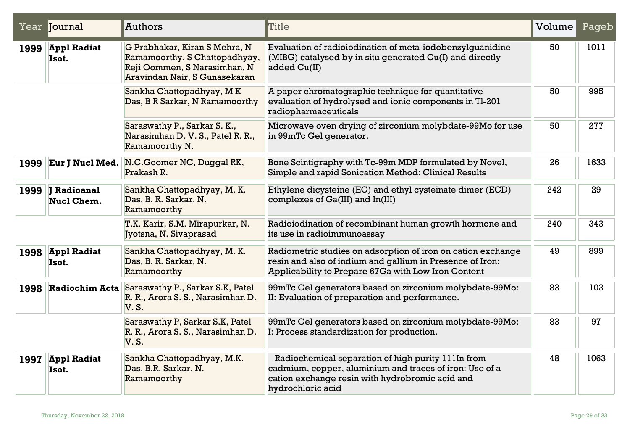|      | Year Journal                            | Authors                                                                                                                         | Title                                                                                                                                                                                 | Volume | Pageb |
|------|-----------------------------------------|---------------------------------------------------------------------------------------------------------------------------------|---------------------------------------------------------------------------------------------------------------------------------------------------------------------------------------|--------|-------|
|      | 1999 Appl Radiat<br>Isot.               | G Prabhakar, Kiran S Mehra, N<br>Ramamoorthy, S Chattopadhyay,<br>Reji Oommen, S Narasimhan, N<br>Aravindan Nair, S Gunasekaran | Evaluation of radioiodination of meta-iodobenzylguanidine<br>(MIBG) catalysed by in situ generated Cu(I) and directly<br>added Cu(II)                                                 | 50     | 1011  |
|      |                                         | Sankha Chattopadhyay, MK<br>Das, B R Sarkar, N Ramamoorthy                                                                      | A paper chromatographic technique for quantitative<br>evaluation of hydrolysed and ionic components in Tl-201<br>radiopharmaceuticals                                                 | 50     | 995   |
|      |                                         | Saraswathy P., Sarkar S. K.,<br>Narasimhan D. V. S., Patel R. R.,<br>Ramamoorthy N.                                             | Microwave oven drying of zirconium molybdate-99Mo for use<br>in 99mTc Gel generator.                                                                                                  | 50     | 277   |
| 1999 | <b>Eur J Nucl Med.</b>                  | N.C.Goomer NC, Duggal RK,<br>Prakash R.                                                                                         | Bone Scintigraphy with Tc-99m MDP formulated by Novel,<br>Simple and rapid Sonication Method: Clinical Results                                                                        | 26     | 1633  |
| 1999 | <b>J</b> Radioanal<br><b>Nucl Chem.</b> | Sankha Chattopadhyay, M. K.<br>Das, B. R. Sarkar, N.<br>Ramamoorthy                                                             | Ethylene dicysteine (EC) and ethyl cysteinate dimer (ECD)<br>complexes of Ga(III) and In(III)                                                                                         | 242    | 29    |
|      |                                         | T.K. Karir, S.M. Mirapurkar, N.<br>Jyotsna, N. Sivaprasad                                                                       | Radioiodination of recombinant human growth hormone and<br>its use in radioimmunoassay                                                                                                | 240    | 343   |
|      | 1998 Appl Radiat<br>Isot.               | Sankha Chattopadhyay, M. K.<br>Das, B. R. Sarkar, N.<br>Ramamoorthy                                                             | Radiometric studies on adsorption of iron on cation exchange<br>resin and also of indium and gallium in Presence of Iron:<br>Applicability to Prepare 67Ga with Low Iron Content      | 49     | 899   |
| 1998 |                                         | <b>Radiochim Acta Saraswathy P., Sarkar S.K, Patel</b><br>R. R., Arora S. S., Narasimhan D.<br><b>V.S.</b>                      | 99mTc Gel generators based on zirconium molybdate-99Mo:<br>II: Evaluation of preparation and performance.                                                                             | 83     | 103   |
|      |                                         | Saraswathy P, Sarkar S.K, Patel<br>R. R., Arora S. S., Narasimhan D.<br><b>V.S.</b>                                             | 99mTc Gel generators based on zirconium molybdate-99Mo:<br>I: Process standardization for production.                                                                                 | 83     | 97    |
| 1997 | <b>Appl Radiat</b><br>Isot.             | Sankha Chattopadhyay, M.K.<br>Das, B.R. Sarkar, N.<br>Ramamoorthy                                                               | Radiochemical separation of high purity 111In from<br>cadmium, copper, aluminium and traces of iron: Use of a<br>cation exchange resin with hydrobromic acid and<br>hydrochloric acid | 48     | 1063  |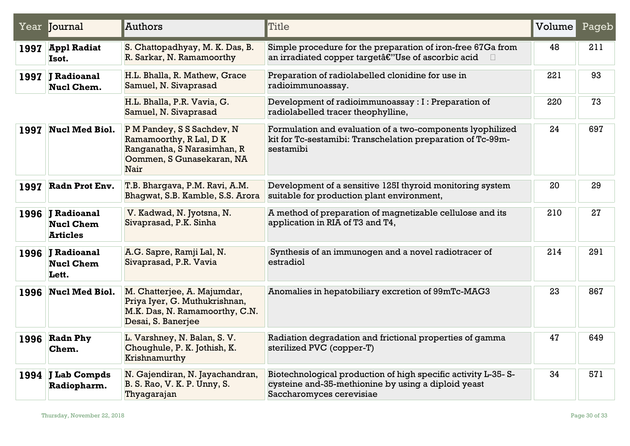|      | Year Journal                                            | Authors                                                                                                                   | Title                                                                                                                                            | Volume | Pageb |
|------|---------------------------------------------------------|---------------------------------------------------------------------------------------------------------------------------|--------------------------------------------------------------------------------------------------------------------------------------------------|--------|-------|
|      | 1997 Appl Radiat<br>Isot.                               | S. Chattopadhyay, M. K. Das, B.<br>R. Sarkar, N. Ramamoorthy                                                              | Simple procedure for the preparation of iron-free 67Ga from<br>an irradiated copper targetâ€"Use of ascorbic acid<br>$\Box$                      | 48     | 211   |
|      | 1997 J Radioanal<br><b>Nucl Chem.</b>                   | H.L. Bhalla, R. Mathew, Grace<br>Samuel, N. Sivaprasad                                                                    | Preparation of radiolabelled clonidine for use in<br>radioimmunoassay.                                                                           | 221    | 93    |
|      |                                                         | H.L. Bhalla, P.R. Vavia, G.<br>Samuel, N. Sivaprasad                                                                      | Development of radioimmunoassay : I : Preparation of<br>radiolabelled tracer theophylline,                                                       | 220    | 73    |
|      | 1997 Nucl Med Biol.                                     | P M Pandey, S S Sachdev, N<br>Ramamoorthy, R Lal, D K<br>Ranganatha, S Narasimhan, R<br>Oommen, S Gunasekaran, NA<br>Nair | Formulation and evaluation of a two-components lyophilized<br>kit for Tc-sestamibi: Transchelation preparation of Tc-99m-<br>sestamibi           | 24     | 697   |
| 1997 | Radn Prot Env.                                          | T.B. Bhargava, P.M. Ravi, A.M.<br>Bhagwat, S.B. Kamble, S.S. Arora                                                        | Development of a sensitive 125I thyroid monitoring system<br>suitable for production plant environment,                                          | 20     | 29    |
|      | 1996 J Radioanal<br><b>Nucl Chem</b><br><b>Articles</b> | V. Kadwad, N. Jyotsna, N.<br>Sivaprasad, P.K. Sinha                                                                       | A method of preparation of magnetizable cellulose and its<br>application in RIA of T3 and T4,                                                    | 210    | 27    |
|      | 1996 J Radioanal<br><b>Nucl Chem</b><br>Lett.           | A.G. Sapre, Ramji Lal, N.<br>Sivaprasad, P.R. Vavia                                                                       | Synthesis of an immunogen and a novel radiotracer of<br>estradiol                                                                                | 214    | 291   |
|      | 1996 Nucl Med Biol.                                     | M. Chatterjee, A. Majumdar,<br>Priya Iyer, G. Muthukrishnan,<br>M.K. Das, N. Ramamoorthy, C.N.<br>Desai, S. Banerjee      | Anomalies in hepatobiliary excretion of 99mTc-MAG3                                                                                               | 23     | 867   |
|      | 1996 Radn Phy<br>Chem.                                  | L. Varshney, N. Balan, S. V.<br>Choughule, P. K. Jothish, K.<br>Krishnamurthy                                             | Radiation degradation and frictional properties of gamma<br>sterilized PVC (copper-T)                                                            | 47     | 649   |
|      | 1994 J Lab Compds<br>Radiopharm.                        | N. Gajendiran, N. Jayachandran,<br>B. S. Rao, V. K. P. Unny, S.<br>Thyagarajan                                            | Biotechnological production of high specific activity L-35-S-<br>eysteine and-85-methionine by using a diploid yeast<br>Saccharomyces cerevisiae | 34     | 571   |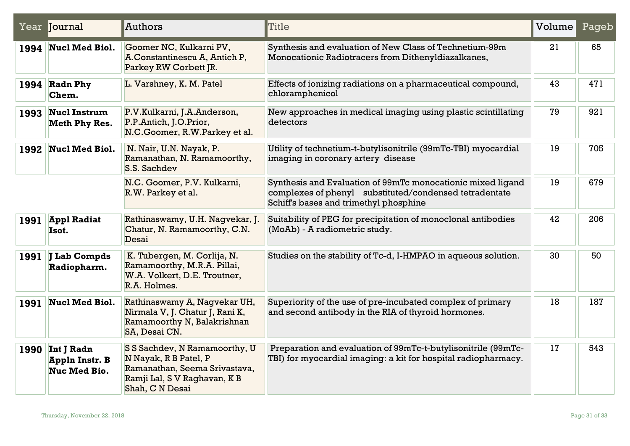|      | Year Journal                                               | Authors                                                                                                                                    | Title                                                                                                                                                           | Volume | Pageb |
|------|------------------------------------------------------------|--------------------------------------------------------------------------------------------------------------------------------------------|-----------------------------------------------------------------------------------------------------------------------------------------------------------------|--------|-------|
|      | 1994 Nucl Med Biol.                                        | Goomer NC, Kulkarni PV,<br>A.Constantinescu A, Antich P,<br>Parkey RW Corbett JR.                                                          | Synthesis and evaluation of New Class of Technetium-99m<br>Monocationic Radiotracers from Dithenyldiazalkanes,                                                  | 21     | 65    |
|      | 1994 Radn Phy<br>Chem.                                     | L. Varshney, K. M. Patel                                                                                                                   | Effects of ionizing radiations on a pharmaceutical compound,<br>chloramphenicol                                                                                 | 43     | 471   |
|      | 1993   Nucl Instrum<br><b>Meth Phy Res.</b>                | P.V.Kulkarni, J.A.Anderson,<br>P.P.Antich, J.O.Prior,<br>N.C.Goomer, R.W.Parkey et al.                                                     | New approaches in medical imaging using plastic scintillating<br>detectors                                                                                      | 79     | 921   |
| 1992 | <b>Nucl Med Biol.</b>                                      | N. Nair, U.N. Nayak, P.<br>Ramanathan, N. Ramamoorthy,<br>S.S. Sachdev                                                                     | Utility of technetium-t-butylisonitrile (99mTc-TBI) myocardial<br>imaging in coronary artery disease                                                            | 19     | 705   |
|      |                                                            | N.C. Goomer, P.V. Kulkarni,<br>R.W. Parkey et al.                                                                                          | Synthesis and Evaluation of 99mTc monocationic mixed ligand<br>complexes of phenyl substituted/condensed tetradentate<br>Schiff's bases and trimethyl phosphine | 19     | 679   |
| 1991 | <b>Appl Radiat</b><br>Isot.                                | Rathinaswamy, U.H. Nagvekar, J.<br>Chatur, N. Ramamoorthy, C.N.<br>Desai                                                                   | Suitability of PEG for precipitation of monoclonal antibodies<br>(MoAb) - A radiometric study.                                                                  | 42     | 206   |
| 1991 | J Lab Compds<br>Radiopharm.                                | K. Tubergen, M. Corlija, N.<br>Ramamoorthy, M.R.A. Pillai,<br>W.A. Volkert, D.E. Troutner,<br>R.A. Holmes.                                 | Studies on the stability of Tc-d, I-HMPAO in aqueous solution.                                                                                                  | 30     | 50    |
| 1991 | <b>Nucl Med Biol.</b>                                      | Rathinaswamy A, Nagvekar UH,<br>Nirmala V, J. Chatur J, Rani K,<br>Ramamoorthy N, Balakrishnan<br>SA, Desai CN.                            | Superiority of the use of pre-incubated complex of primary<br>and second antibody in the RIA of thyroid hormones.                                               | 18     | 187   |
| 1990 | Int J Radn<br><b>Appln Instr. B</b><br><b>Nuc Med Bio.</b> | S S Sachdev, N Ramamoorthy, U<br>N Nayak, R B Patel, P<br>Ramanathan, Seema Srivastava,<br>Ramji Lal, S V Raghavan, K B<br>Shah, C N Desai | Preparation and evaluation of 99mTc-t-butylisonitrile (99mTc-<br>TBI) for myocardial imaging: a kit for hospital radiopharmacy.                                 | 17     | 543   |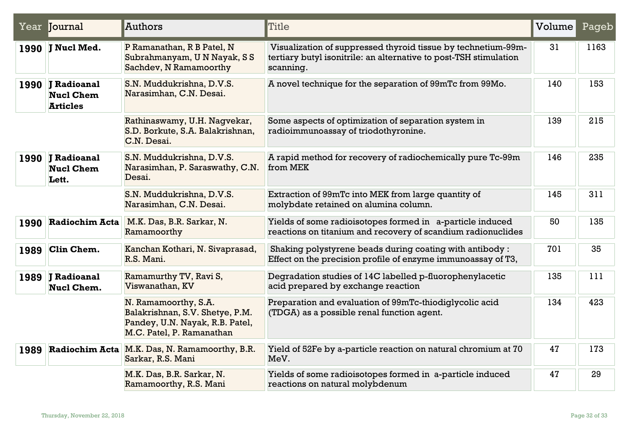|      | Year Journal                                            | Authors                                                                                                                 | Title                                                                                                                                           | Volume | Pageb |
|------|---------------------------------------------------------|-------------------------------------------------------------------------------------------------------------------------|-------------------------------------------------------------------------------------------------------------------------------------------------|--------|-------|
|      | 1990 J Nucl Med.                                        | P Ramanathan, R B Patel, N<br>Subrahmanyam, UN Nayak, SS<br>Sachdev, N Ramamoorthy                                      | Visualization of suppressed thyroid tissue by technetium-99m-<br>tertiary butyl isonitrile: an alternative to post-TSH stimulation<br>scanning. | 31     | 1163  |
|      | 1990 J Radioanal<br><b>Nucl Chem</b><br><b>Articles</b> | S.N. Muddukrishna, D.V.S.<br>Narasimhan, C.N. Desai.                                                                    | A novel technique for the separation of 99mTc from 99Mo.                                                                                        | 140    | 153   |
|      |                                                         | Rathinaswamy, U.H. Nagvekar,<br>S.D. Borkute, S.A. Balakrishnan,<br>C.N. Desai.                                         | Some aspects of optimization of separation system in<br>radioimmunoassay of triodothyronine.                                                    | 139    | 215   |
|      | 1990 J Radioanal<br><b>Nucl Chem</b><br>Lett.           | S.N. Muddukrishna, D.V.S.<br>Narasimhan, P. Saraswathy, C.N.<br>Desai.                                                  | A rapid method for recovery of radiochemically pure Tc-99m<br>from MEK                                                                          | 146    | 235   |
|      |                                                         | S.N. Muddukrishna, D.V.S.<br>Narasimhan, C.N. Desai.                                                                    | Extraction of 99mTc into MEK from large quantity of<br>molybdate retained on alumina column.                                                    | 145    | 311   |
| 1990 | <b>Radiochim Acta</b>                                   | M.K. Das, B.R. Sarkar, N.<br>Ramamoorthy                                                                                | Yields of some radioisotopes formed in a-particle induced<br>reactions on titanium and recovery of scandium radionuclides                       | 50     | 135   |
| 1989 | Clin Chem.                                              | Kanchan Kothari, N. Sivaprasad,<br>R.S. Mani.                                                                           | Shaking polystyrene beads during coating with antibody:<br>Effect on the precision profile of enzyme immunoassay of T3,                         | 701    | 35    |
|      | 1989 J Radioanal<br>Nucl Chem.                          | Ramamurthy TV, Ravi S,<br>Viswanathan, KV                                                                               | Degradation studies of 14C labelled p-fluorophenylacetic<br>acid prepared by exchange reaction                                                  | 135    | 111   |
|      |                                                         | N. Ramamoorthy, S.A.<br>Balakrishnan, S.V. Shetye, P.M.<br>Pandey, U.N. Nayak, R.B. Patel,<br>M.C. Patel, P. Ramanathan | Preparation and evaluation of 99mTc-thiodiglycolic acid<br>(TDGA) as a possible renal function agent.                                           | 134    | 423   |
| 1989 | <b>Radiochim Acta</b>                                   | M.K. Das, N. Ramamoorthy, B.R.<br>Sarkar, R.S. Mani                                                                     | Yield of 52Fe by a-particle reaction on natural chromium at 70<br>MeV.                                                                          | 47     | 173   |
|      |                                                         | M.K. Das, B.R. Sarkar, N.<br>Ramamoorthy, R.S. Mani                                                                     | Yields of some radioisotopes formed in a-particle induced<br>reactions on natural molybdenum                                                    | 47     | 29    |